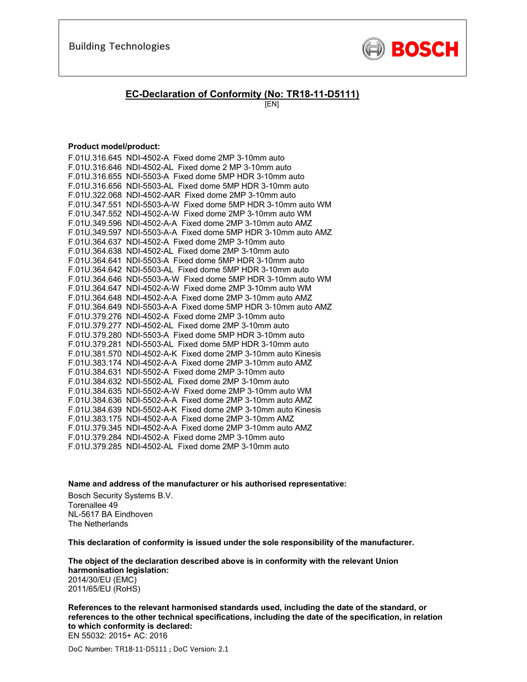

### **EC-Declaration of Conformity (No: TR18-11-D5111)**

[EN]

### **Product model/product:**

| F.01U.316.645 NDI-4502-A Fixed dome 2MP 3-10mm auto           |
|---------------------------------------------------------------|
| F.01U.316.646 NDI-4502-AL Fixed dome 2 MP 3-10mm auto         |
| F.01U.316.655 NDI-5503-A Fixed dome 5MP HDR 3-10mm auto       |
| F.01U.316.656 NDI-5503-AL Fixed dome 5MP HDR 3-10mm auto      |
| F.01U.322.068 NDI-4502-AAR Fixed dome 2MP 3-10mm auto         |
| F.01U.347.551 NDI-5503-A-W Fixed dome 5MP HDR 3-10mm auto WM  |
| F.01U.347.552 NDI-4502-A-W Fixed dome 2MP 3-10mm auto WM      |
| F.01U.349.596 NDI-4502-A-A Fixed dome 2MP 3-10mm auto AMZ     |
| F.01U.349.597 NDI-5503-A-A Fixed dome 5MP HDR 3-10mm auto AMZ |
| F.01U.364.637 NDI-4502-A Fixed dome 2MP 3-10mm auto           |
| F.01U.364.638 NDI-4502-AL Fixed dome 2MP 3-10mm auto          |
| F.01U.364.641 NDI-5503-A Fixed dome 5MP HDR 3-10mm auto       |
| F.01U.364.642 NDI-5503-AL Fixed dome 5MP HDR 3-10mm auto      |
| F.01U.364.646 NDI-5503-A-W Fixed dome 5MP HDR 3-10mm auto WM  |
| F.01U.364.647 NDI-4502-A-W Fixed dome 2MP 3-10mm auto WM      |
| F.01U.364.648 NDI-4502-A-A Fixed dome 2MP 3-10mm auto AMZ     |
| F.01U.364.649 NDI-5503-A-A Fixed dome 5MP HDR 3-10mm auto AMZ |
| F.01U.379.276 NDI-4502-A Fixed dome 2MP 3-10mm auto           |
| F.01U.379.277 NDI-4502-AL Fixed dome 2MP 3-10mm auto          |
| F.01U.379.280 NDI-5503-A Fixed dome 5MP HDR 3-10mm auto       |
| F.01U.379.281 NDI-5503-AL Fixed dome 5MP HDR 3-10mm auto      |
| F.01U.381.570 NDI-4502-A-K Fixed dome 2MP 3-10mm auto Kinesis |
| F.01U.383.174 NDI-4502-A-A Fixed dome 2MP 3-10mm auto AMZ     |
| F.01U.384.631 NDI-5502-A Fixed dome 2MP 3-10mm auto           |
| F.01U.384.632 NDI-5502-AL Fixed dome 2MP 3-10mm auto          |
| F.01U.384.635 NDI-5502-A-W Fixed dome 2MP 3-10mm auto WM      |
| F.01U.384.636 NDI-5502-A-A Fixed dome 2MP 3-10mm auto AMZ     |
| F.01U.384.639 NDI-5502-A-K Fixed dome 2MP 3-10mm auto Kinesis |
| F.01U.383.175 NDI-4502-A-A Fixed dome 2MP 3-10mm AMZ          |
| F.01U.379.345 NDI-4502-A-A Fixed dome 2MP 3-10mm auto AMZ     |
| F.01U.379.284 NDI-4502-A Fixed dome 2MP 3-10mm auto           |
| F.01U.379.285 NDI-4502-AL Fixed dome 2MP 3-10mm auto          |

**Name and address of the manufacturer or his authorised representative:**

Bosch Security Systems B.V. Torenallee 49 NL-5617 BA Eindhoven The Netherlands

**This declaration of conformity is issued under the sole responsibility of the manufacturer.** 

**The object of the declaration described above is in conformity with the relevant Union harmonisation legislation:** 2014/30/EU (EMC) 2011/65/EU (RoHS)

**References to the relevant harmonised standards used, including the date of the standard, or references to the other technical specifications, including the date of the specification, in relation to which conformity is declared:**  EN 55032: 2015+ AC: 2016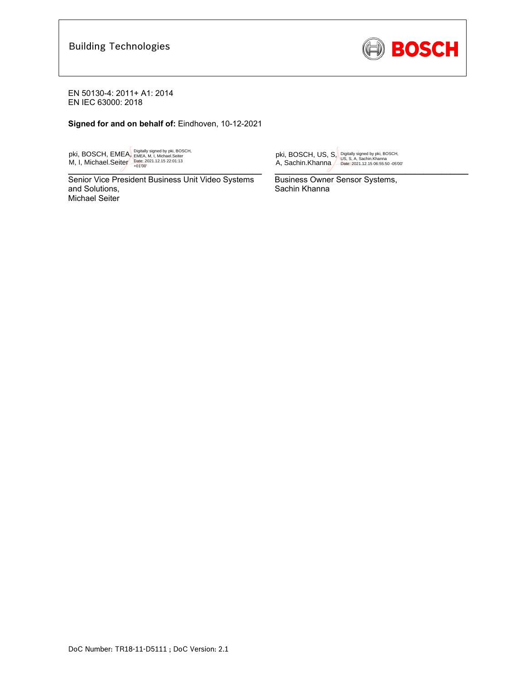

**Signed for and on behalf of:** Eindhoven, 10-12-2021

pki, BOSCH, EMEA, M, I, Michael.Seiter Digitally signed by pki, BOSCH,<br>EMEA, M, I, Michael.Seiter<br>Date: 2021.12.15 22:01:13<br>+01'00'

 $\overline{a}$   $\overline{b}$   $\overline{c}$   $\overline{c}$   $\overline{c}$   $\overline{c}$   $\overline{c}$   $\overline{c}$   $\overline{c}$   $\overline{c}$   $\overline{c}$   $\overline{c}$   $\overline{c}$   $\overline{c}$   $\overline{c}$   $\overline{c}$   $\overline{c}$   $\overline{c}$   $\overline{c}$   $\overline{c}$   $\overline{c}$   $\overline{c}$   $\overline{c}$   $\overline{c}$   $\overline{$ Senior Vice President Business Unit Video Systems and Solutions, Michael Seiter

pki, BOSCH, US, S, A, Sachin.Khanna Digitally signed by pki, BOSCH, US, S, A, Sachin.Khanna Date: 2021.12.15 06:55:50 -05'00'

 $\overline{a}$ 

Business Owner Sensor Systems, Sachin Khanna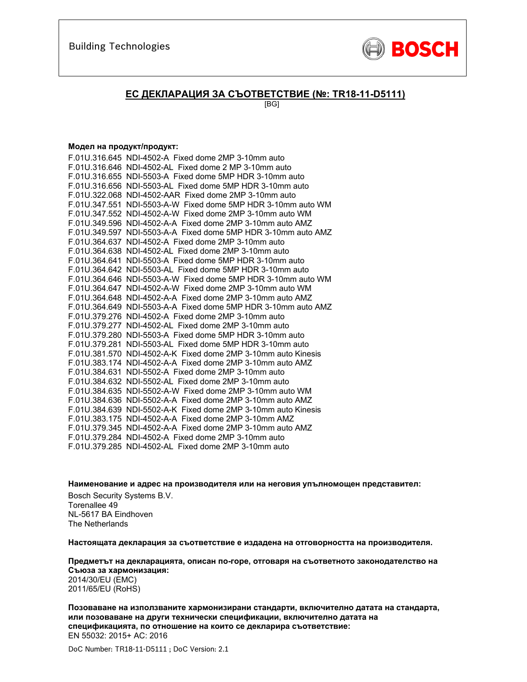

### **ЕС ДЕКЛАРАЦИЯ ЗА СЪОТВЕТСТВИЕ (№: TR18-11-D5111)**

[BG]

#### **Модел на продукт/продукт:**

| F.01U.316.645 NDI-4502-A Fixed dome 2MP 3-10mm auto           |
|---------------------------------------------------------------|
| F.01U.316.646 NDI-4502-AL Fixed dome 2 MP 3-10mm auto         |
| F.01U.316.655 NDI-5503-A Fixed dome 5MP HDR 3-10mm auto       |
| F.01U.316.656 NDI-5503-AL Fixed dome 5MP HDR 3-10mm auto      |
| F.01U.322.068 NDI-4502-AAR Fixed dome 2MP 3-10mm auto         |
| F.01U.347.551 NDI-5503-A-W Fixed dome 5MP HDR 3-10mm auto WM  |
| F.01U.347.552 NDI-4502-A-W Fixed dome 2MP 3-10mm auto WM      |
| F.01U.349.596 NDI-4502-A-A Fixed dome 2MP 3-10mm auto AMZ     |
| F.01U.349.597 NDI-5503-A-A Fixed dome 5MP HDR 3-10mm auto AMZ |
| F.01U.364.637 NDI-4502-A Fixed dome 2MP 3-10mm auto           |
| F.01U.364.638 NDI-4502-AL Fixed dome 2MP 3-10mm auto          |
| F.01U.364.641 NDI-5503-A Fixed dome 5MP HDR 3-10mm auto       |
| F.01U.364.642 NDI-5503-AL Fixed dome 5MP HDR 3-10mm auto      |
| F.01U.364.646 NDI-5503-A-W Fixed dome 5MP HDR 3-10mm auto WM  |
| F.01U.364.647 NDI-4502-A-W Fixed dome 2MP 3-10mm auto WM      |
| F.01U.364.648 NDI-4502-A-A Fixed dome 2MP 3-10mm auto AMZ     |
| F.01U.364.649 NDI-5503-A-A Fixed dome 5MP HDR 3-10mm auto AMZ |
| F.01U.379.276 NDI-4502-A Fixed dome 2MP 3-10mm auto           |
| F.01U.379.277 NDI-4502-AL Fixed dome 2MP 3-10mm auto          |
| F.01U.379.280 NDI-5503-A Fixed dome 5MP HDR 3-10mm auto       |
| F.01U.379.281 NDI-5503-AL Fixed dome 5MP HDR 3-10mm auto      |
| F.01U.381.570 NDI-4502-A-K Fixed dome 2MP 3-10mm auto Kinesis |
| F.01U.383.174 NDI-4502-A-A Fixed dome 2MP 3-10mm auto AMZ     |
| F.01U.384.631 NDI-5502-A Fixed dome 2MP 3-10mm auto           |
| F.01U.384.632 NDI-5502-AL Fixed dome 2MP 3-10mm auto          |
| F.01U.384.635 NDI-5502-A-W Fixed dome 2MP 3-10mm auto WM      |
| F.01U.384.636 NDI-5502-A-A Fixed dome 2MP 3-10mm auto AMZ     |
| F.01U.384.639 NDI-5502-A-K Fixed dome 2MP 3-10mm auto Kinesis |
| F.01U.383.175 NDI-4502-A-A Fixed dome 2MP 3-10mm AMZ          |
| F.01U.379.345 NDI-4502-A-A Fixed dome 2MP 3-10mm auto AMZ     |
| F.01U.379.284 NDI-4502-A Fixed dome 2MP 3-10mm auto           |
| F.01U.379.285 NDI-4502-AL Fixed dome 2MP 3-10mm auto          |

**Наименование и адрес на производителя или на неговия упълномощен представител:**  Bosch Security Systems B.V. Torenallee 49 NL-5617 BA Eindhoven The Netherlands

**Настоящата декларация за съответствие е издадена на отговорността на производителя.** 

**Предметът на декларацията, описан по-горе, отговаря на съответното законодателство на Съюза за хармонизация:**

2014/30/EU (EMC) 2011/65/EU (RoHS)

**Позоваване на използваните хармонизирани стандарти, включително датата на стандарта, или позоваване на други технически спецификации, включително датата на спецификацията, по отношение на които се декларира съответствие:**  EN 55032: 2015+ AC: 2016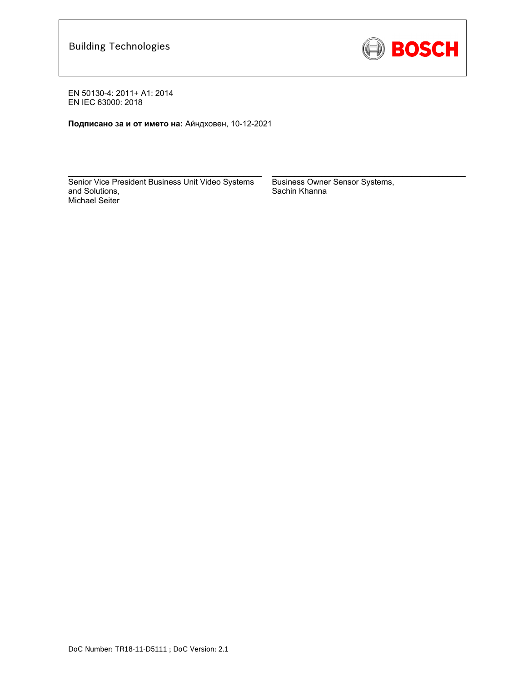

**Подписано за и от името на:** Айндховен, 10-12-2021

Senior Vice President Business Unit Video Systems and Solutions, Michael Seiter

 $\mathcal{L}_\text{max} = \frac{1}{2} \sum_{i=1}^n \mathcal{L}_\text{max}(\mathbf{z}_i - \mathbf{z}_i)$ 

Business Owner Sensor Systems, Sachin Khanna

\_\_\_\_\_\_\_\_\_\_\_\_\_\_\_\_\_\_\_\_\_\_\_\_\_\_\_\_\_\_\_\_\_\_\_\_\_\_\_\_\_\_\_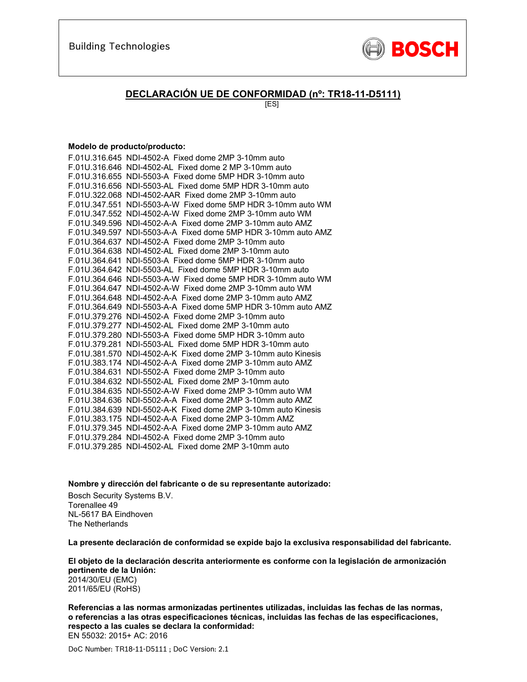

### **DECLARACIÓN UE DE CONFORMIDAD (nº: TR18-11-D5111)**

[ES]

#### **Modelo de producto/producto:**

| F.01U.316.645 NDI-4502-A Fixed dome 2MP 3-10mm auto           |
|---------------------------------------------------------------|
| F.01U.316.646 NDI-4502-AL Fixed dome 2 MP 3-10mm auto         |
| F.01U.316.655 NDI-5503-A Fixed dome 5MP HDR 3-10mm auto       |
| F.01U.316.656 NDI-5503-AL Fixed dome 5MP HDR 3-10mm auto      |
| F.01U.322.068 NDI-4502-AAR Fixed dome 2MP 3-10mm auto         |
| F.01U.347.551 NDI-5503-A-W Fixed dome 5MP HDR 3-10mm auto WM  |
| F.01U.347.552 NDI-4502-A-W Fixed dome 2MP 3-10mm auto WM      |
| F.01U.349.596 NDI-4502-A-A Fixed dome 2MP 3-10mm auto AMZ     |
| F.01U.349.597 NDI-5503-A-A Fixed dome 5MP HDR 3-10mm auto AMZ |
| F.01U.364.637 NDI-4502-A Fixed dome 2MP 3-10mm auto           |
| F.01U.364.638 NDI-4502-AL Fixed dome 2MP 3-10mm auto          |
| F.01U.364.641 NDI-5503-A Fixed dome 5MP HDR 3-10mm auto       |
| F.01U.364.642 NDI-5503-AL Fixed dome 5MP HDR 3-10mm auto      |
| F.01U.364.646 NDI-5503-A-W Fixed dome 5MP HDR 3-10mm auto WM  |
| F.01U.364.647 NDI-4502-A-W Fixed dome 2MP 3-10mm auto WM      |
| F.01U.364.648 NDI-4502-A-A Fixed dome 2MP 3-10mm auto AMZ     |
| F.01U.364.649 NDI-5503-A-A Fixed dome 5MP HDR 3-10mm auto AMZ |
| F.01U.379.276 NDI-4502-A Fixed dome 2MP 3-10mm auto           |
| F.01U.379.277 NDI-4502-AL Fixed dome 2MP 3-10mm auto          |
| F.01U.379.280 NDI-5503-A Fixed dome 5MP HDR 3-10mm auto       |
| F.01U.379.281 NDI-5503-AL Fixed dome 5MP HDR 3-10mm auto      |
| F.01U.381.570 NDI-4502-A-K Fixed dome 2MP 3-10mm auto Kinesis |
| F.01U.383.174 NDI-4502-A-A Fixed dome 2MP 3-10mm auto AMZ     |
| F.01U.384.631 NDI-5502-A Fixed dome 2MP 3-10mm auto           |
| F.01U.384.632 NDI-5502-AL Fixed dome 2MP 3-10mm auto          |
| F.01U.384.635 NDI-5502-A-W Fixed dome 2MP 3-10mm auto WM      |
| F.01U.384.636 NDI-5502-A-A Fixed dome 2MP 3-10mm auto AMZ     |
| F.01U.384.639 NDI-5502-A-K Fixed dome 2MP 3-10mm auto Kinesis |
| F.01U.383.175 NDI-4502-A-A Fixed dome 2MP 3-10mm AMZ          |
| F.01U.379.345 NDI-4502-A-A Fixed dome 2MP 3-10mm auto AMZ     |
| F.01U.379.284 NDI-4502-A Fixed dome 2MP 3-10mm auto           |
| F.01U.379.285 NDI-4502-AL Fixed dome 2MP 3-10mm auto          |

**Nombre y dirección del fabricante o de su representante autorizado:** 

Bosch Security Systems B.V. Torenallee 49 NL-5617 BA Eindhoven The Netherlands

**La presente declaración de conformidad se expide bajo la exclusiva responsabilidad del fabricante.** 

**El objeto de la declaración descrita anteriormente es conforme con la legislación de armonización pertinente de la Unión:** 2014/30/EU (EMC)

2011/65/EU (RoHS)

**Referencias a las normas armonizadas pertinentes utilizadas, incluidas las fechas de las normas, o referencias a las otras especificaciones técnicas, incluidas las fechas de las especificaciones, respecto a las cuales se declara la conformidad:**  EN 55032: 2015+ AC: 2016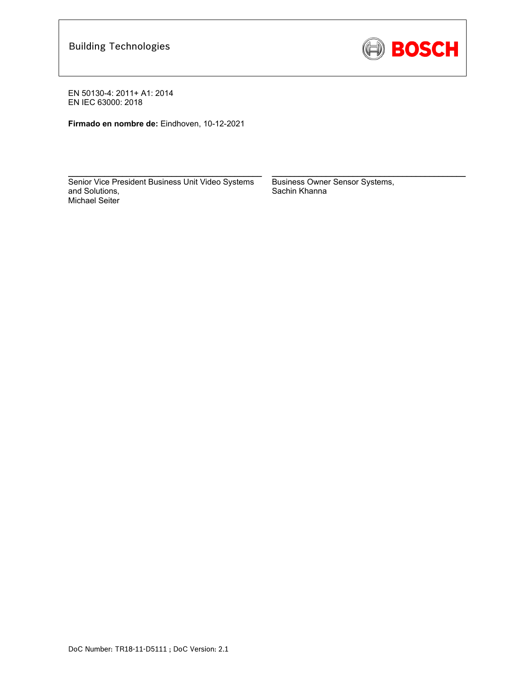

**Firmado en nombre de:** Eindhoven, 10-12-2021

Senior Vice President Business Unit Video Systems and Solutions, Michael Seiter

 $\mathcal{L}_\text{max} = \frac{1}{2} \sum_{i=1}^n \mathcal{L}_\text{max}(\mathbf{z}_i - \mathbf{z}_i)$ 

Business Owner Sensor Systems, Sachin Khanna

 $\mathcal{L}_\text{max} = \frac{1}{2} \sum_{i=1}^n \mathcal{L}_\text{max}(\mathbf{z}_i - \mathbf{z}_i)$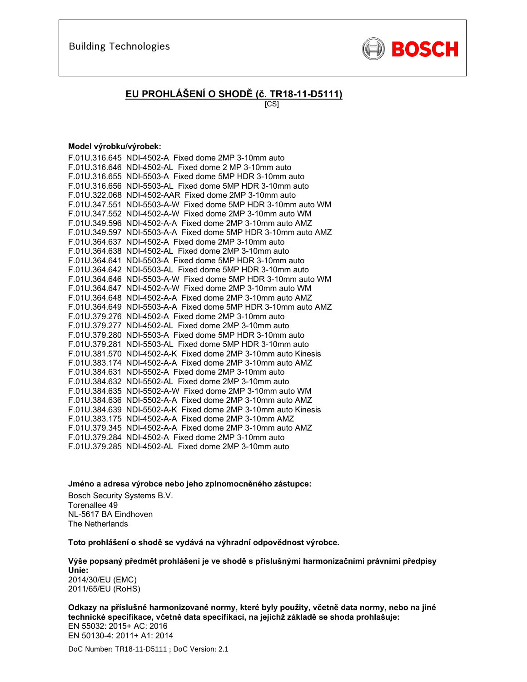

# **EU PROHLÁŠENÍ O SHODĚ (č. TR18-11-D5111)**

[CS]

#### **Model výrobku/výrobek:**

| F.01U.316.645 NDI-4502-A Fixed dome 2MP 3-10mm auto           |
|---------------------------------------------------------------|
| F.01U.316.646 NDI-4502-AL Fixed dome 2 MP 3-10mm auto         |
| F.01U.316.655 NDI-5503-A Fixed dome 5MP HDR 3-10mm auto       |
| F.01U.316.656 NDI-5503-AL Fixed dome 5MP HDR 3-10mm auto      |
| F.01U.322.068 NDI-4502-AAR Fixed dome 2MP 3-10mm auto         |
| F.01U.347.551 NDI-5503-A-W Fixed dome 5MP HDR 3-10mm auto WM  |
| F.01U.347.552 NDI-4502-A-W Fixed dome 2MP 3-10mm auto WM      |
| F.01U.349.596 NDI-4502-A-A Fixed dome 2MP 3-10mm auto AMZ     |
| F.01U.349.597 NDI-5503-A-A Fixed dome 5MP HDR 3-10mm auto AMZ |
| F.01U.364.637 NDI-4502-A Fixed dome 2MP 3-10mm auto           |
| F.01U.364.638 NDI-4502-AL Fixed dome 2MP 3-10mm auto          |
| F.01U.364.641 NDI-5503-A Fixed dome 5MP HDR 3-10mm auto       |
| F.01U.364.642 NDI-5503-AL Fixed dome 5MP HDR 3-10mm auto      |
| F.01U.364.646 NDI-5503-A-W Fixed dome 5MP HDR 3-10mm auto WM  |
| F.01U.364.647 NDI-4502-A-W Fixed dome 2MP 3-10mm auto WM      |
| F.01U.364.648 NDI-4502-A-A Fixed dome 2MP 3-10mm auto AMZ     |
| F.01U.364.649 NDI-5503-A-A Fixed dome 5MP HDR 3-10mm auto AMZ |
| F.01U.379.276 NDI-4502-A Fixed dome 2MP 3-10mm auto           |
| F.01U.379.277 NDI-4502-AL Fixed dome 2MP 3-10mm auto          |
| F.01U.379.280 NDI-5503-A Fixed dome 5MP HDR 3-10mm auto       |
| F.01U.379.281 NDI-5503-AL Fixed dome 5MP HDR 3-10mm auto      |
| F.01U.381.570 NDI-4502-A-K Fixed dome 2MP 3-10mm auto Kinesis |
| F.01U.383.174 NDI-4502-A-A Fixed dome 2MP 3-10mm auto AMZ     |
| F.01U.384.631 NDI-5502-A Fixed dome 2MP 3-10mm auto           |
| F.01U.384.632 NDI-5502-AL Fixed dome 2MP 3-10mm auto          |
| F.01U.384.635 NDI-5502-A-W Fixed dome 2MP 3-10mm auto WM      |
| F.01U.384.636 NDI-5502-A-A Fixed dome 2MP 3-10mm auto AMZ     |
| F.01U.384.639 NDI-5502-A-K Fixed dome 2MP 3-10mm auto Kinesis |
| F.01U.383.175 NDI-4502-A-A Fixed dome 2MP 3-10mm AMZ          |
| F.01U.379.345 NDI-4502-A-A Fixed dome 2MP 3-10mm auto AMZ     |
| F.01U.379.284 NDI-4502-A Fixed dome 2MP 3-10mm auto           |
| F.01U.379.285 NDI-4502-AL Fixed dome 2MP 3-10mm auto          |

**Jméno a adresa výrobce nebo jeho zplnomocněného zástupce:** 

Bosch Security Systems B.V. Torenallee 49 NL-5617 BA Eindhoven The Netherlands

**Toto prohlášení o shodě se vydává na výhradní odpovědnost výrobce.** 

**Výše popsaný předmět prohlášení je ve shodě s příslušnými harmonizačními právními předpisy Unie:** 2014/30/EU (EMC) 2011/65/EU (RoHS)

**Odkazy na příslušné harmonizované normy, které byly použity, včetně data normy, nebo na jiné technické specifikace, včetně data specifikací, na jejichž základě se shoda prohlašuje:**  EN 55032: 2015+ AC: 2016 EN 50130-4: 2011+ A1: 2014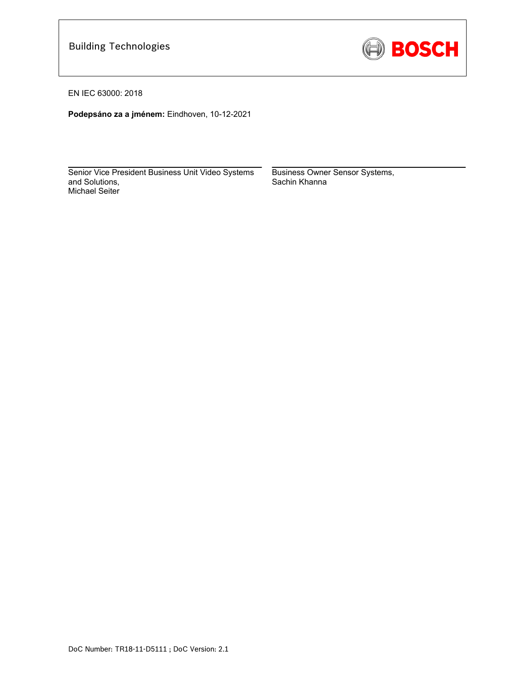

EN IEC 63000: 2018

**Podepsáno za a jménem:** Eindhoven, 10-12-2021

Senior Vice President Business Unit Video Systems and Solutions, Michael Seiter

\_\_\_\_\_\_\_\_\_\_\_\_\_\_\_\_\_\_\_\_\_\_\_\_\_\_\_\_\_\_\_\_\_\_\_\_\_\_\_\_\_\_\_

Business Owner Sensor Systems, Sachin Khanna

\_\_\_\_\_\_\_\_\_\_\_\_\_\_\_\_\_\_\_\_\_\_\_\_\_\_\_\_\_\_\_\_\_\_\_\_\_\_\_\_\_\_\_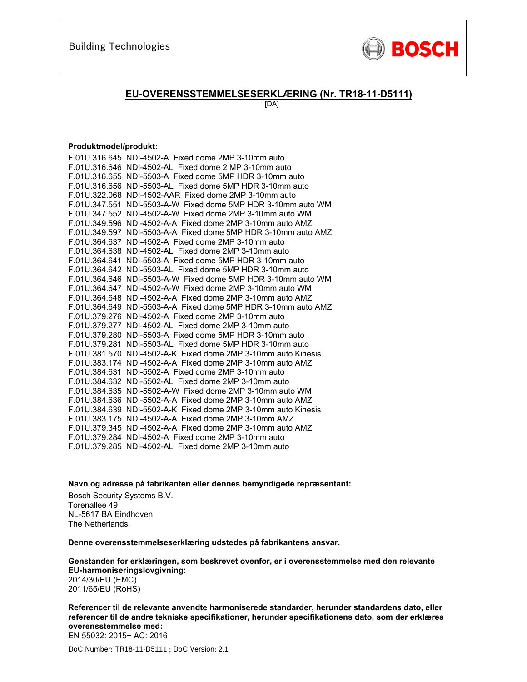

### **EU-OVERENSSTEMMELSESERKLÆRING (Nr. TR18-11-D5111)**

[DA]

#### **Produktmodel/produkt:**

| F.01U.316.645 NDI-4502-A Fixed dome 2MP 3-10mm auto           |
|---------------------------------------------------------------|
| F.01U.316.646 NDI-4502-AL Fixed dome 2 MP 3-10mm auto         |
| F.01U.316.655 NDI-5503-A Fixed dome 5MP HDR 3-10mm auto       |
| F.01U.316.656 NDI-5503-AL Fixed dome 5MP HDR 3-10mm auto      |
| F.01U.322.068 NDI-4502-AAR Fixed dome 2MP 3-10mm auto         |
| F.01U.347.551 NDI-5503-A-W Fixed dome 5MP HDR 3-10mm auto WM  |
| F.01U.347.552 NDI-4502-A-W Fixed dome 2MP 3-10mm auto WM      |
| F.01U.349.596 NDI-4502-A-A Fixed dome 2MP 3-10mm auto AMZ     |
| F.01U.349.597 NDI-5503-A-A Fixed dome 5MP HDR 3-10mm auto AMZ |
| F.01U.364.637 NDI-4502-A Fixed dome 2MP 3-10mm auto           |
| F.01U.364.638 NDI-4502-AL Fixed dome 2MP 3-10mm auto          |
| F.01U.364.641 NDI-5503-A Fixed dome 5MP HDR 3-10mm auto       |
| F.01U.364.642 NDI-5503-AL Fixed dome 5MP HDR 3-10mm auto      |
| F.01U.364.646 NDI-5503-A-W Fixed dome 5MP HDR 3-10mm auto WM  |
| F.01U.364.647 NDI-4502-A-W Fixed dome 2MP 3-10mm auto WM      |
| F.01U.364.648 NDI-4502-A-A Fixed dome 2MP 3-10mm auto AMZ     |
| F.01U.364.649 NDI-5503-A-A Fixed dome 5MP HDR 3-10mm auto AMZ |
| F.01U.379.276 NDI-4502-A Fixed dome 2MP 3-10mm auto           |
| F.01U.379.277 NDI-4502-AL Fixed dome 2MP 3-10mm auto          |
| F.01U.379.280 NDI-5503-A Fixed dome 5MP HDR 3-10mm auto       |
| F.01U.379.281 NDI-5503-AL Fixed dome 5MP HDR 3-10mm auto      |
| F.01U.381.570 NDI-4502-A-K Fixed dome 2MP 3-10mm auto Kinesis |
| F.01U.383.174 NDI-4502-A-A Fixed dome 2MP 3-10mm auto AMZ     |
| F.01U.384.631 NDI-5502-A Fixed dome 2MP 3-10mm auto           |
| F.01U.384.632 NDI-5502-AL Fixed dome 2MP 3-10mm auto          |
| F.01U.384.635 NDI-5502-A-W Fixed dome 2MP 3-10mm auto WM      |
| F.01U.384.636 NDI-5502-A-A Fixed dome 2MP 3-10mm auto AMZ     |
| F.01U.384.639 NDI-5502-A-K Fixed dome 2MP 3-10mm auto Kinesis |
| F.01U.383.175 NDI-4502-A-A Fixed dome 2MP 3-10mm AMZ          |
| F.01U.379.345 NDI-4502-A-A Fixed dome 2MP 3-10mm auto AMZ     |
| F.01U.379.284 NDI-4502-A Fixed dome 2MP 3-10mm auto           |
| F.01U.379.285 NDI-4502-AL Fixed dome 2MP 3-10mm auto          |

**Navn og adresse på fabrikanten eller dennes bemyndigede repræsentant:** 

Bosch Security Systems B.V. Torenallee 49 NL-5617 BA Eindhoven The Netherlands

**Denne overensstemmelseserklæring udstedes på fabrikantens ansvar.** 

**Genstanden for erklæringen, som beskrevet ovenfor, er i overensstemmelse med den relevante EU-harmoniseringslovgivning:** 2014/30/EU (EMC) 2011/65/EU (RoHS)

**Referencer til de relevante anvendte harmoniserede standarder, herunder standardens dato, eller referencer til de andre tekniske specifikationer, herunder specifikationens dato, som der erklæres overensstemmelse med:**  EN 55032: 2015+ AC: 2016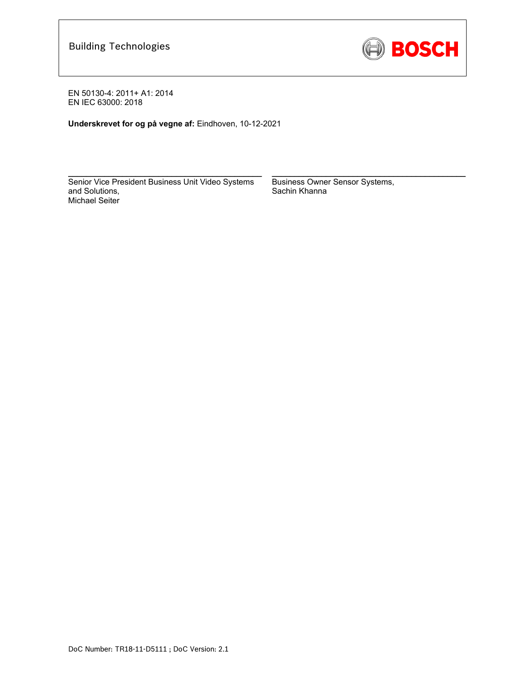

**Underskrevet for og på vegne af:** Eindhoven, 10-12-2021

Senior Vice President Business Unit Video Systems and Solutions, Michael Seiter

\_\_\_\_\_\_\_\_\_\_\_\_\_\_\_\_\_\_\_\_\_\_\_\_\_\_\_\_\_\_\_\_\_\_\_\_\_\_\_\_\_\_\_

Business Owner Sensor Systems, Sachin Khanna

\_\_\_\_\_\_\_\_\_\_\_\_\_\_\_\_\_\_\_\_\_\_\_\_\_\_\_\_\_\_\_\_\_\_\_\_\_\_\_\_\_\_\_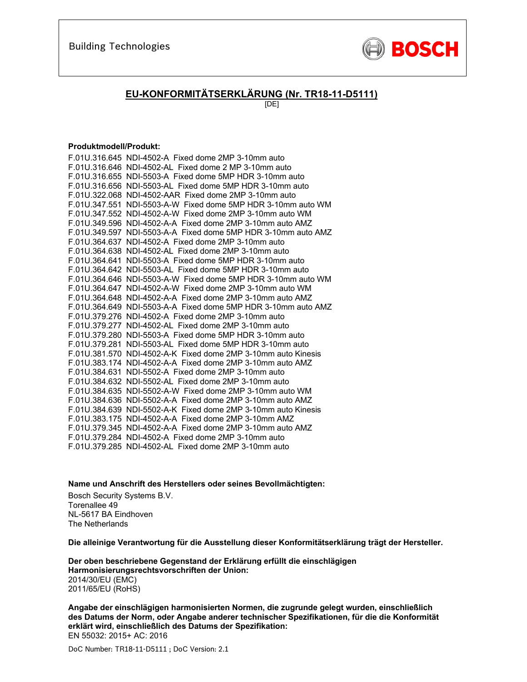

### **EU-KONFORMITÄTSERKLÄRUNG (Nr. TR18-11-D5111)**

[DE]

#### **Produktmodell/Produkt:**

| F.01U.316.645 NDI-4502-A Fixed dome 2MP 3-10mm auto           |
|---------------------------------------------------------------|
| F.01U.316.646 NDI-4502-AL Fixed dome 2 MP 3-10mm auto         |
| F.01U.316.655 NDI-5503-A Fixed dome 5MP HDR 3-10mm auto       |
| F.01U.316.656 NDI-5503-AL Fixed dome 5MP HDR 3-10mm auto      |
| F.01U.322.068 NDI-4502-AAR Fixed dome 2MP 3-10mm auto         |
| F.01U.347.551 NDI-5503-A-W Fixed dome 5MP HDR 3-10mm auto WM  |
| F.01U.347.552 NDI-4502-A-W Fixed dome 2MP 3-10mm auto WM      |
| F.01U.349.596 NDI-4502-A-A Fixed dome 2MP 3-10mm auto AMZ     |
| F.01U.349.597 NDI-5503-A-A Fixed dome 5MP HDR 3-10mm auto AMZ |
| F.01U.364.637 NDI-4502-A Fixed dome 2MP 3-10mm auto           |
| F.01U.364.638 NDI-4502-AL Fixed dome 2MP 3-10mm auto          |
| F.01U.364.641 NDI-5503-A Fixed dome 5MP HDR 3-10mm auto       |
| F.01U.364.642 NDI-5503-AL Fixed dome 5MP HDR 3-10mm auto      |
| F.01U.364.646 NDI-5503-A-W Fixed dome 5MP HDR 3-10mm auto WM  |
| F.01U.364.647 NDI-4502-A-W Fixed dome 2MP 3-10mm auto WM      |
| F.01U.364.648 NDI-4502-A-A Fixed dome 2MP 3-10mm auto AMZ     |
| F.01U.364.649 NDI-5503-A-A Fixed dome 5MP HDR 3-10mm auto AMZ |
| F.01U.379.276 NDI-4502-A Fixed dome 2MP 3-10mm auto           |
| F.01U.379.277 NDI-4502-AL Fixed dome 2MP 3-10mm auto          |
| F.01U.379.280 NDI-5503-A Fixed dome 5MP HDR 3-10mm auto       |
| F.01U.379.281 NDI-5503-AL Fixed dome 5MP HDR 3-10mm auto      |
| F.01U.381.570 NDI-4502-A-K Fixed dome 2MP 3-10mm auto Kinesis |
| F.01U.383.174 NDI-4502-A-A Fixed dome 2MP 3-10mm auto AMZ     |
| F.01U.384.631 NDI-5502-A Fixed dome 2MP 3-10mm auto           |
| F.01U.384.632 NDI-5502-AL Fixed dome 2MP 3-10mm auto          |
| F.01U.384.635 NDI-5502-A-W Fixed dome 2MP 3-10mm auto WM      |
| F.01U.384.636 NDI-5502-A-A Fixed dome 2MP 3-10mm auto AMZ     |
| F.01U.384.639 NDI-5502-A-K Fixed dome 2MP 3-10mm auto Kinesis |
| F.01U.383.175 NDI-4502-A-A Fixed dome 2MP 3-10mm AMZ          |
| F.01U.379.345 NDI-4502-A-A Fixed dome 2MP 3-10mm auto AMZ     |
| F.01U.379.284 NDI-4502-A Fixed dome 2MP 3-10mm auto           |
| F.01U.379.285 NDI-4502-AL Fixed dome 2MP 3-10mm auto          |

**Name und Anschrift des Herstellers oder seines Bevollmächtigten:** 

Bosch Security Systems B.V. Torenallee 49 NL-5617 BA Eindhoven The Netherlands

**Die alleinige Verantwortung für die Ausstellung dieser Konformitätserklärung trägt der Hersteller.** 

**Der oben beschriebene Gegenstand der Erklärung erfüllt die einschlägigen Harmonisierungsrechtsvorschriften der Union:** 2014/30/EU (EMC) 2011/65/EU (RoHS)

**Angabe der einschlägigen harmonisierten Normen, die zugrunde gelegt wurden, einschließlich des Datums der Norm, oder Angabe anderer technischer Spezifikationen, für die die Konformität erklärt wird, einschließlich des Datums der Spezifikation:**  EN 55032: 2015+ AC: 2016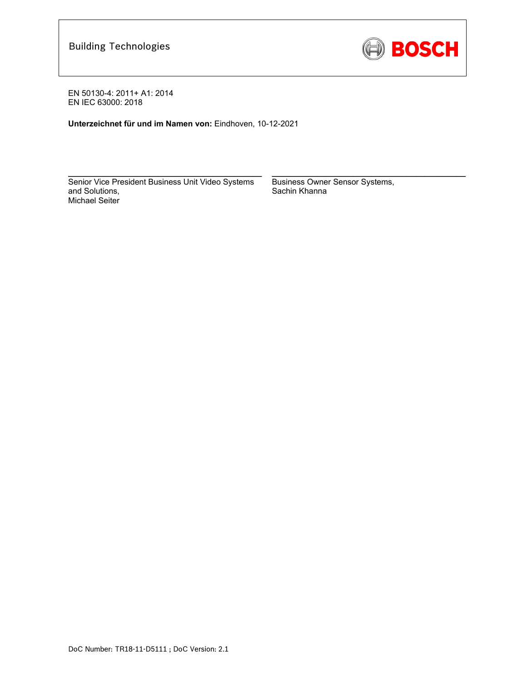

**Unterzeichnet für und im Namen von:** Eindhoven, 10-12-2021

Senior Vice President Business Unit Video Systems and Solutions, Michael Seiter

 $\mathcal{L}_\text{max} = \frac{1}{2} \sum_{i=1}^n \mathcal{L}_\text{max}(\mathbf{z}_i - \mathbf{z}_i)$ 

Business Owner Sensor Systems, Sachin Khanna

 $\mathcal{L}_\text{max} = \frac{1}{2} \sum_{i=1}^n \mathcal{L}_\text{max}(\mathbf{z}_i - \mathbf{z}_i)$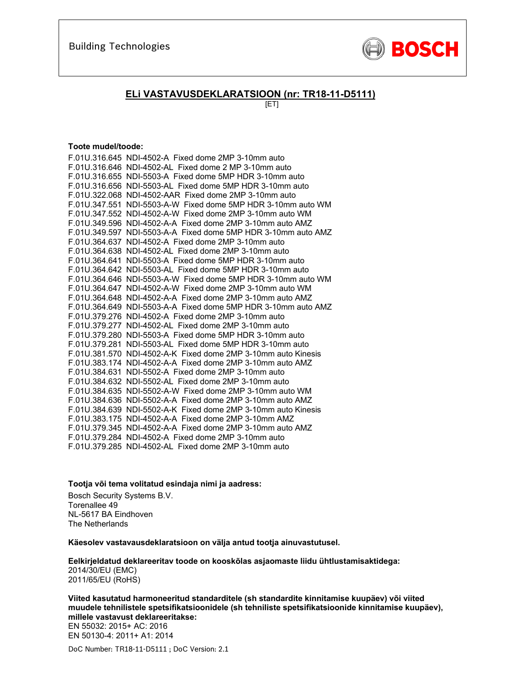

### **ELi VASTAVUSDEKLARATSIOON (nr: TR18-11-D5111)**

[ET]

#### **Toote mudel/toode:**

| F.01U.316.645 NDI-4502-A Fixed dome 2MP 3-10mm auto           |
|---------------------------------------------------------------|
| F.01U.316.646 NDI-4502-AL Fixed dome 2 MP 3-10mm auto         |
| F.01U.316.655 NDI-5503-A Fixed dome 5MP HDR 3-10mm auto       |
| F.01U.316.656 NDI-5503-AL Fixed dome 5MP HDR 3-10mm auto      |
| F.01U.322.068 NDI-4502-AAR Fixed dome 2MP 3-10mm auto         |
| F.01U.347.551 NDI-5503-A-W Fixed dome 5MP HDR 3-10mm auto WM  |
| F.01U.347.552 NDI-4502-A-W Fixed dome 2MP 3-10mm auto WM      |
| F.01U.349.596 NDI-4502-A-A Fixed dome 2MP 3-10mm auto AMZ     |
| F.01U.349.597 NDI-5503-A-A Fixed dome 5MP HDR 3-10mm auto AMZ |
| F.01U.364.637 NDI-4502-A Fixed dome 2MP 3-10mm auto           |
| F.01U.364.638 NDI-4502-AL Fixed dome 2MP 3-10mm auto          |
| F.01U.364.641 NDI-5503-A Fixed dome 5MP HDR 3-10mm auto       |
| F.01U.364.642 NDI-5503-AL Fixed dome 5MP HDR 3-10mm auto      |
| F.01U.364.646 NDI-5503-A-W Fixed dome 5MP HDR 3-10mm auto WM  |
| F.01U.364.647 NDI-4502-A-W Fixed dome 2MP 3-10mm auto WM      |
| F.01U.364.648 NDI-4502-A-A Fixed dome 2MP 3-10mm auto AMZ     |
| F.01U.364.649 NDI-5503-A-A Fixed dome 5MP HDR 3-10mm auto AMZ |
| F.01U.379.276 NDI-4502-A Fixed dome 2MP 3-10mm auto           |
| F.01U.379.277 NDI-4502-AL Fixed dome 2MP 3-10mm auto          |
| F.01U.379.280 NDI-5503-A Fixed dome 5MP HDR 3-10mm auto       |
| F.01U.379.281 NDI-5503-AL Fixed dome 5MP HDR 3-10mm auto      |
| F.01U.381.570 NDI-4502-A-K Fixed dome 2MP 3-10mm auto Kinesis |
| F.01U.383.174 NDI-4502-A-A Fixed dome 2MP 3-10mm auto AMZ     |
| F.01U.384.631 NDI-5502-A Fixed dome 2MP 3-10mm auto           |
| F.01U.384.632 NDI-5502-AL Fixed dome 2MP 3-10mm auto          |
| F.01U.384.635 NDI-5502-A-W Fixed dome 2MP 3-10mm auto WM      |
| F.01U.384.636 NDI-5502-A-A Fixed dome 2MP 3-10mm auto AMZ     |
| F.01U.384.639 NDI-5502-A-K Fixed dome 2MP 3-10mm auto Kinesis |
| F.01U.383.175 NDI-4502-A-A Fixed dome 2MP 3-10mm AMZ          |
| F.01U.379.345 NDI-4502-A-A Fixed dome 2MP 3-10mm auto AMZ     |
| F.01U.379.284 NDI-4502-A Fixed dome 2MP 3-10mm auto           |
| F.01U.379.285 NDI-4502-AL Fixed dome 2MP 3-10mm auto          |

#### **Tootja või tema volitatud esindaja nimi ja aadress:**

Bosch Security Systems B.V. Torenallee 49 NL-5617 BA Eindhoven The Netherlands

**Käesolev vastavausdeklaratsioon on välja antud tootja ainuvastutusel.** 

**Eelkirjeldatud deklareeritav toode on kooskõlas asjaomaste liidu ühtlustamisaktidega:** 2014/30/EU (EMC) 2011/65/EU (RoHS)

**Viited kasutatud harmoneeritud standarditele (sh standardite kinnitamise kuupäev) või viited muudele tehnilistele spetsifikatsioonidele (sh tehniliste spetsifikatsioonide kinnitamise kuupäev), millele vastavust deklareeritakse:** 

EN 55032: 2015+ AC: 2016 EN 50130-4: 2011+ A1: 2014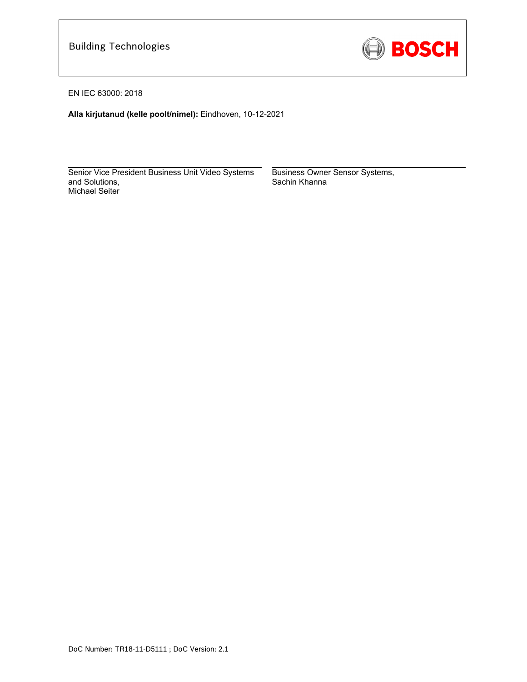

EN IEC 63000: 2018

**Alla kirjutanud (kelle poolt/nimel):** Eindhoven, 10-12-2021

 $\mathcal{L}_\text{max}$  and  $\mathcal{L}_\text{max}$  and  $\mathcal{L}_\text{max}$  and  $\mathcal{L}_\text{max}$  and  $\mathcal{L}_\text{max}$ Senior Vice President Business Unit Video Systems and Solutions, Michael Seiter

Business Owner Sensor Systems, Sachin Khanna

 $\mathcal{L}_\text{max}$  and  $\mathcal{L}_\text{max}$  and  $\mathcal{L}_\text{max}$  and  $\mathcal{L}_\text{max}$  and  $\mathcal{L}_\text{max}$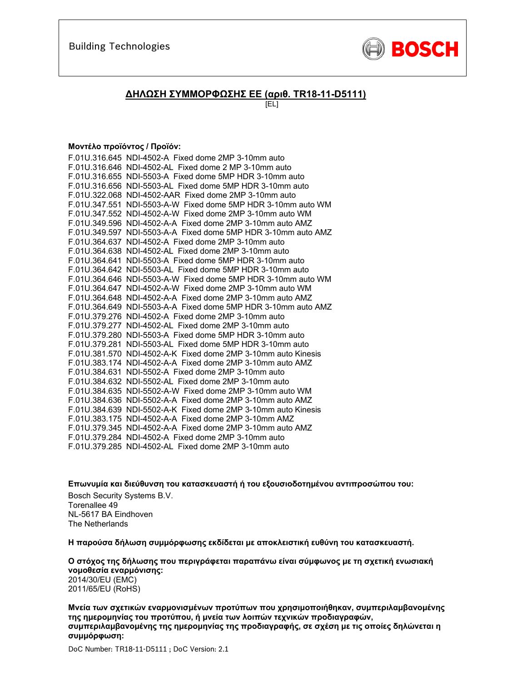

### **ΔΗΛΩΣΗ ΣΥΜΜΟΡΦΩΣΗΣ ΕΕ (αριθ. TR18-11-D5111)**

[EL]

### **Μοντέλο προϊόντος / Προϊόν:**

| F.01U.316.645 NDI-4502-A Fixed dome 2MP 3-10mm auto           |
|---------------------------------------------------------------|
| F.01U.316.646 NDI-4502-AL Fixed dome 2 MP 3-10mm auto         |
| F.01U.316.655 NDI-5503-A Fixed dome 5MP HDR 3-10mm auto       |
| F.01U.316.656 NDI-5503-AL Fixed dome 5MP HDR 3-10mm auto      |
| F.01U.322.068 NDI-4502-AAR Fixed dome 2MP 3-10mm auto         |
| F.01U.347.551 NDI-5503-A-W Fixed dome 5MP HDR 3-10mm auto WM  |
| F.01U.347.552 NDI-4502-A-W Fixed dome 2MP 3-10mm auto WM      |
| F.01U.349.596 NDI-4502-A-A Fixed dome 2MP 3-10mm auto AMZ     |
| F.01U.349.597 NDI-5503-A-A Fixed dome 5MP HDR 3-10mm auto AMZ |
| F.01U.364.637 NDI-4502-A Fixed dome 2MP 3-10mm auto           |
| F.01U.364.638 NDI-4502-AL Fixed dome 2MP 3-10mm auto          |
| F.01U.364.641 NDI-5503-A Fixed dome 5MP HDR 3-10mm auto       |
| F.01U.364.642 NDI-5503-AL Fixed dome 5MP HDR 3-10mm auto      |
| F.01U.364.646 NDI-5503-A-W Fixed dome 5MP HDR 3-10mm auto WM  |
| F.01U.364.647 NDI-4502-A-W Fixed dome 2MP 3-10mm auto WM      |
| F.01U.364.648 NDI-4502-A-A Fixed dome 2MP 3-10mm auto AMZ     |
| F.01U.364.649 NDI-5503-A-A Fixed dome 5MP HDR 3-10mm auto AMZ |
| F.01U.379.276 NDI-4502-A Fixed dome 2MP 3-10mm auto           |
| F.01U.379.277 NDI-4502-AL Fixed dome 2MP 3-10mm auto          |
| F.01U.379.280 NDI-5503-A Fixed dome 5MP HDR 3-10mm auto       |
| F.01U.379.281 NDI-5503-AL Fixed dome 5MP HDR 3-10mm auto      |
| F.01U.381.570 NDI-4502-A-K Fixed dome 2MP 3-10mm auto Kinesis |
| F.01U.383.174 NDI-4502-A-A Fixed dome 2MP 3-10mm auto AMZ     |
| F.01U.384.631 NDI-5502-A Fixed dome 2MP 3-10mm auto           |
| F.01U.384.632 NDI-5502-AL Fixed dome 2MP 3-10mm auto          |
| F.01U.384.635 NDI-5502-A-W Fixed dome 2MP 3-10mm auto WM      |
| F.01U.384.636 NDI-5502-A-A Fixed dome 2MP 3-10mm auto AMZ     |
| F.01U.384.639 NDI-5502-A-K Fixed dome 2MP 3-10mm auto Kinesis |
| F.01U.383.175 NDI-4502-A-A Fixed dome 2MP 3-10mm AMZ          |
| F.01U.379.345 NDI-4502-A-A Fixed dome 2MP 3-10mm auto AMZ     |
| F.01U.379.284 NDI-4502-A Fixed dome 2MP 3-10mm auto           |
| F.01U.379.285 NDI-4502-AL Fixed dome 2MP 3-10mm auto          |

**Επωνυμία και διεύθυνση του κατασκευαστή ή του εξουσιοδοτημένου αντιπροσώπου του:**  Bosch Security Systems B.V. Torenallee 49 NL-5617 BA Eindhoven The Netherlands

**Η παρούσα δήλωση συμμόρφωσης εκδίδεται με αποκλειστική ευθύνη του κατασκευαστή.** 

**Ο στόχος της δήλωσης που περιγράφεται παραπάνω είναι σύμφωνος με τη σχετική ενωσιακή νομοθεσία εναρμόνισης:** 2014/30/EU (EMC) 2011/65/EU (RoHS)

**Μνεία των σχετικών εναρμονισμένων προτύπων που χρησιμοποιήθηκαν, συμπεριλαμβανομένης της ημερομηνίας του προτύπου, ή μνεία των λοιπών τεχνικών προδιαγραφών, συμπεριλαμβανομένης της ημερομηνίας της προδιαγραφής, σε σχέση με τις οποίες δηλώνεται η συμμόρφωση:**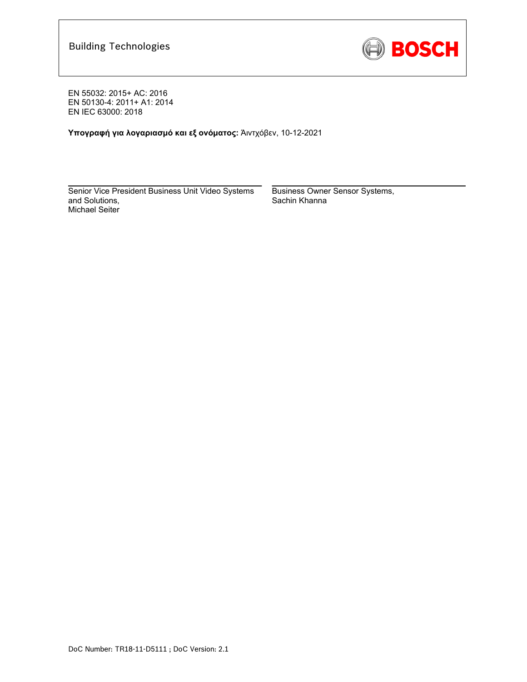

EN 55032: 2015+ AC: 2016 EN 50130-4: 2011+ A1: 2014 EN IEC 63000: 2018

**Υπογραφή για λογαριασμό και εξ ονόματος:** Άιντχόβεν, 10-12-2021

Senior Vice President Business Unit Video Systems and Solutions, Michael Seiter

 $\mathcal{L}_\text{max} = \frac{1}{2} \sum_{i=1}^n \mathcal{L}_\text{max}(\mathbf{z}_i - \mathbf{z}_i)$ 

Business Owner Sensor Systems, Sachin Khanna

\_\_\_\_\_\_\_\_\_\_\_\_\_\_\_\_\_\_\_\_\_\_\_\_\_\_\_\_\_\_\_\_\_\_\_\_\_\_\_\_\_\_\_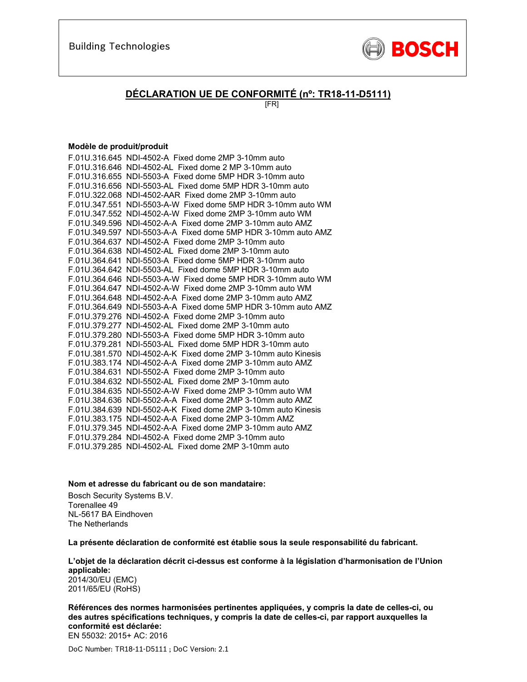

### **DÉCLARATION UE DE CONFORMITÉ (nº: TR18-11-D5111)**

[FR]

#### **Modèle de produit/produit**

| F.01U.316.645 NDI-4502-A Fixed dome 2MP 3-10mm auto           |
|---------------------------------------------------------------|
| F.01U.316.646 NDI-4502-AL Fixed dome 2 MP 3-10mm auto         |
| F.01U.316.655 NDI-5503-A Fixed dome 5MP HDR 3-10mm auto       |
| F.01U.316.656 NDI-5503-AL Fixed dome 5MP HDR 3-10mm auto      |
| F.01U.322.068 NDI-4502-AAR Fixed dome 2MP 3-10mm auto         |
| F.01U.347.551 NDI-5503-A-W Fixed dome 5MP HDR 3-10mm auto WM  |
| F.01U.347.552 NDI-4502-A-W Fixed dome 2MP 3-10mm auto WM      |
| F.01U.349.596 NDI-4502-A-A Fixed dome 2MP 3-10mm auto AMZ     |
| F.01U.349.597 NDI-5503-A-A Fixed dome 5MP HDR 3-10mm auto AMZ |
| F.01U.364.637 NDI-4502-A Fixed dome 2MP 3-10mm auto           |
| F.01U.364.638 NDI-4502-AL Fixed dome 2MP 3-10mm auto          |
| F.01U.364.641 NDI-5503-A Fixed dome 5MP HDR 3-10mm auto       |
| F.01U.364.642 NDI-5503-AL Fixed dome 5MP HDR 3-10mm auto      |
| F.01U.364.646 NDI-5503-A-W Fixed dome 5MP HDR 3-10mm auto WM  |
| F.01U.364.647 NDI-4502-A-W Fixed dome 2MP 3-10mm auto WM      |
| F.01U.364.648 NDI-4502-A-A Fixed dome 2MP 3-10mm auto AMZ     |
| F.01U.364.649 NDI-5503-A-A Fixed dome 5MP HDR 3-10mm auto AMZ |
| F.01U.379.276 NDI-4502-A Fixed dome 2MP 3-10mm auto           |
| F.01U.379.277 NDI-4502-AL Fixed dome 2MP 3-10mm auto          |
| F.01U.379.280 NDI-5503-A Fixed dome 5MP HDR 3-10mm auto       |
| F.01U.379.281 NDI-5503-AL Fixed dome 5MP HDR 3-10mm auto      |
| F.01U.381.570 NDI-4502-A-K Fixed dome 2MP 3-10mm auto Kinesis |
| F.01U.383.174 NDI-4502-A-A Fixed dome 2MP 3-10mm auto AMZ     |
| F.01U.384.631 NDI-5502-A Fixed dome 2MP 3-10mm auto           |
| F.01U.384.632 NDI-5502-AL Fixed dome 2MP 3-10mm auto          |
| F.01U.384.635 NDI-5502-A-W Fixed dome 2MP 3-10mm auto WM      |
| F.01U.384.636 NDI-5502-A-A Fixed dome 2MP 3-10mm auto AMZ     |
| F.01U.384.639 NDI-5502-A-K Fixed dome 2MP 3-10mm auto Kinesis |
| F.01U.383.175 NDI-4502-A-A Fixed dome 2MP 3-10mm AMZ          |
| F.01U.379.345 NDI-4502-A-A Fixed dome 2MP 3-10mm auto AMZ     |
| F.01U.379.284 NDI-4502-A Fixed dome 2MP 3-10mm auto           |
| F.01U.379.285 NDI-4502-AL Fixed dome 2MP 3-10mm auto          |

#### **Nom et adresse du fabricant ou de son mandataire:**

Bosch Security Systems B.V. Torenallee 49 NL-5617 BA Eindhoven The Netherlands

**La présente déclaration de conformité est établie sous la seule responsabilité du fabricant.** 

**L'objet de la déclaration décrit ci-dessus est conforme à la législation d'harmonisation de l'Union applicable:** 2014/30/EU (EMC)

2011/65/EU (RoHS)

**Références des normes harmonisées pertinentes appliquées, y compris la date de celles-ci, ou des autres spécifications techniques, y compris la date de celles-ci, par rapport auxquelles la conformité est déclarée:**  EN 55032: 2015+ AC: 2016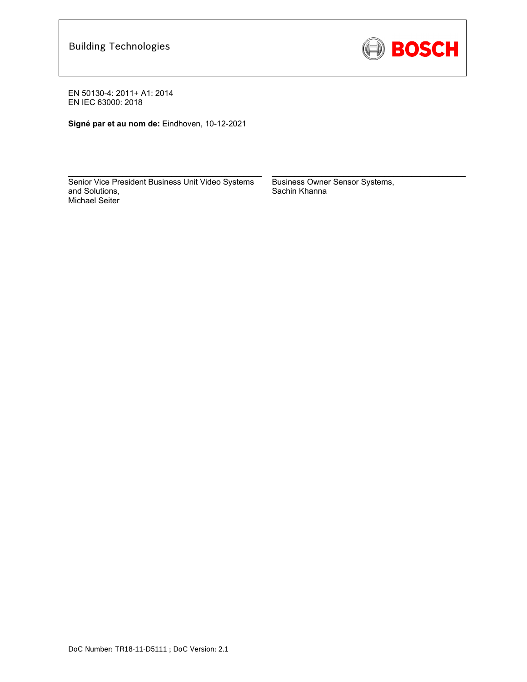

**Signé par et au nom de:** Eindhoven, 10-12-2021

Senior Vice President Business Unit Video Systems and Solutions, Michael Seiter

 $\mathcal{L}_\text{max} = \frac{1}{2} \sum_{i=1}^n \mathcal{L}_\text{max}(\mathbf{z}_i - \mathbf{z}_i)$ 

Business Owner Sensor Systems, Sachin Khanna

 $\mathcal{L}_\text{max} = \frac{1}{2} \sum_{i=1}^n \mathcal{L}_\text{max}(\mathbf{z}_i - \mathbf{z}_i)$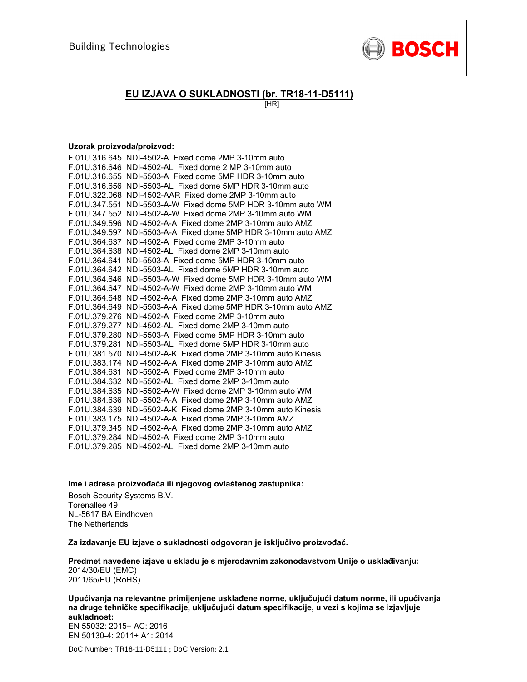

### **EU IZJAVA O SUKLADNOSTI (br. TR18-11-D5111)**

[HR]

#### **Uzorak proizvoda/proizvod:**

| F.01U.316.645 NDI-4502-A Fixed dome 2MP 3-10mm auto           |
|---------------------------------------------------------------|
| F.01U.316.646 NDI-4502-AL Fixed dome 2 MP 3-10mm auto         |
| F.01U.316.655 NDI-5503-A Fixed dome 5MP HDR 3-10mm auto       |
| F.01U.316.656 NDI-5503-AL Fixed dome 5MP HDR 3-10mm auto      |
| F.01U.322.068 NDI-4502-AAR Fixed dome 2MP 3-10mm auto         |
| F.01U.347.551 NDI-5503-A-W Fixed dome 5MP HDR 3-10mm auto WM  |
| F.01U.347.552 NDI-4502-A-W Fixed dome 2MP 3-10mm auto WM      |
| F.01U.349.596 NDI-4502-A-A Fixed dome 2MP 3-10mm auto AMZ     |
| F.01U.349.597 NDI-5503-A-A Fixed dome 5MP HDR 3-10mm auto AMZ |
| F.01U.364.637 NDI-4502-A Fixed dome 2MP 3-10mm auto           |
| F.01U.364.638 NDI-4502-AL Fixed dome 2MP 3-10mm auto          |
| F.01U.364.641 NDI-5503-A Fixed dome 5MP HDR 3-10mm auto       |
| F.01U.364.642 NDI-5503-AL Fixed dome 5MP HDR 3-10mm auto      |
| F.01U.364.646 NDI-5503-A-W Fixed dome 5MP HDR 3-10mm auto WM  |
| F.01U.364.647 NDI-4502-A-W Fixed dome 2MP 3-10mm auto WM      |
| F.01U.364.648 NDI-4502-A-A Fixed dome 2MP 3-10mm auto AMZ     |
| F.01U.364.649 NDI-5503-A-A Fixed dome 5MP HDR 3-10mm auto AMZ |
| F.01U.379.276 NDI-4502-A Fixed dome 2MP 3-10mm auto           |
| F.01U.379.277 NDI-4502-AL Fixed dome 2MP 3-10mm auto          |
| F.01U.379.280 NDI-5503-A Fixed dome 5MP HDR 3-10mm auto       |
| F.01U.379.281 NDI-5503-AL Fixed dome 5MP HDR 3-10mm auto      |
| F.01U.381.570 NDI-4502-A-K Fixed dome 2MP 3-10mm auto Kinesis |
| F.01U.383.174 NDI-4502-A-A Fixed dome 2MP 3-10mm auto AMZ     |
| F.01U.384.631 NDI-5502-A Fixed dome 2MP 3-10mm auto           |
| F.01U.384.632 NDI-5502-AL Fixed dome 2MP 3-10mm auto          |
| F.01U.384.635 NDI-5502-A-W Fixed dome 2MP 3-10mm auto WM      |
| F.01U.384.636 NDI-5502-A-A Fixed dome 2MP 3-10mm auto AMZ     |
| F.01U.384.639 NDI-5502-A-K Fixed dome 2MP 3-10mm auto Kinesis |
| F.01U.383.175 NDI-4502-A-A Fixed dome 2MP 3-10mm AMZ          |
| F.01U.379.345 NDI-4502-A-A Fixed dome 2MP 3-10mm auto AMZ     |
| F.01U.379.284 NDI-4502-A Fixed dome 2MP 3-10mm auto           |
| F.01U.379.285 NDI-4502-AL Fixed dome 2MP 3-10mm auto          |

**Ime i adresa proizvođača ili njegovog ovlaštenog zastupnika:** 

Bosch Security Systems B.V. Torenallee 49 NL-5617 BA Eindhoven The Netherlands

**Za izdavanje EU izjave o sukladnosti odgovoran je isključivo proizvođač.** 

**Predmet navedene izjave u skladu je s mjerodavnim zakonodavstvom Unije o usklađivanju:** 2014/30/EU (EMC) 2011/65/EU (RoHS)

**Upućivanja na relevantne primijenjene usklađene norme, uključujući datum norme, ili upućivanja na druge tehničke specifikacije, uključujući datum specifikacije, u vezi s kojima se izjavljuje sukladnost:**  EN 55032: 2015+ AC: 2016 EN 50130-4: 2011+ A1: 2014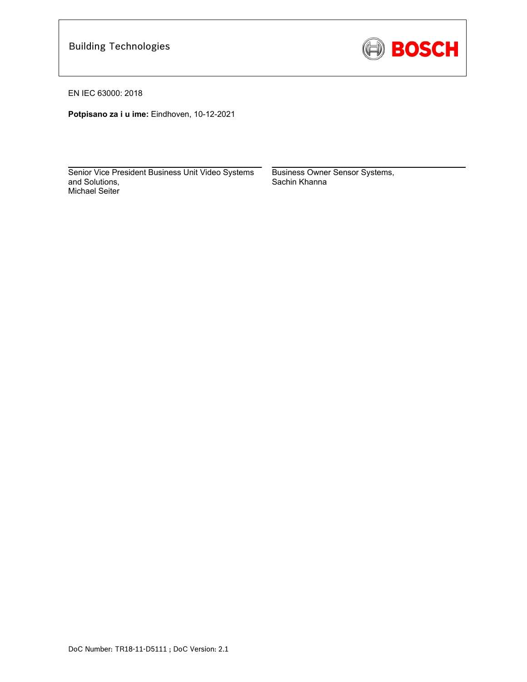

EN IEC 63000: 2018

**Potpisano za i u ime:** Eindhoven, 10-12-2021

\_\_\_\_\_\_\_\_\_\_\_\_\_\_\_\_\_\_\_\_\_\_\_\_\_\_\_\_\_\_\_\_\_\_\_\_\_\_\_\_\_\_\_ Senior Vice President Business Unit Video Systems and Solutions, Michael Seiter

Business Owner Sensor Systems, Sachin Khanna

\_\_\_\_\_\_\_\_\_\_\_\_\_\_\_\_\_\_\_\_\_\_\_\_\_\_\_\_\_\_\_\_\_\_\_\_\_\_\_\_\_\_\_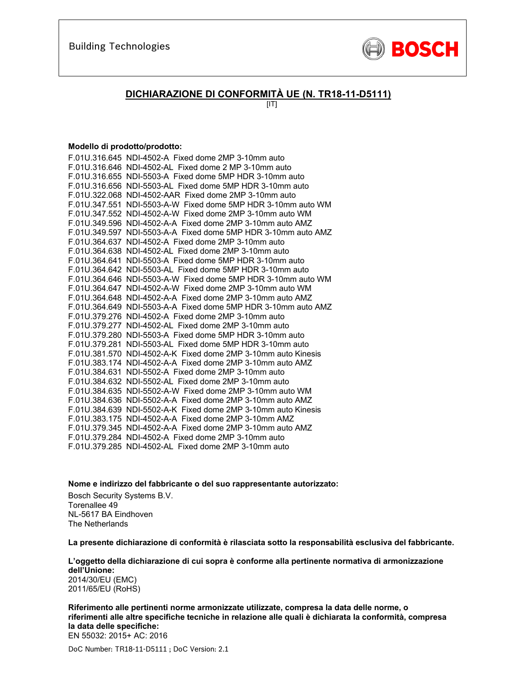

### **DICHIARAZIONE DI CONFORMITÀ UE (N. TR18-11-D5111)**

 $[IT]$ 

#### **Modello di prodotto/prodotto:**

| F.01U.316.645 NDI-4502-A Fixed dome 2MP 3-10mm auto           |
|---------------------------------------------------------------|
| F.01U.316.646 NDI-4502-AL Fixed dome 2 MP 3-10mm auto         |
| F.01U.316.655 NDI-5503-A Fixed dome 5MP HDR 3-10mm auto       |
| F.01U.316.656 NDI-5503-AL Fixed dome 5MP HDR 3-10mm auto      |
| F.01U.322.068 NDI-4502-AAR Fixed dome 2MP 3-10mm auto         |
| F.01U.347.551 NDI-5503-A-W Fixed dome 5MP HDR 3-10mm auto WM  |
| F.01U.347.552 NDI-4502-A-W Fixed dome 2MP 3-10mm auto WM      |
| F.01U.349.596 NDI-4502-A-A Fixed dome 2MP 3-10mm auto AMZ     |
| F.01U.349.597 NDI-5503-A-A Fixed dome 5MP HDR 3-10mm auto AMZ |
| F.01U.364.637 NDI-4502-A Fixed dome 2MP 3-10mm auto           |
| F.01U.364.638 NDI-4502-AL Fixed dome 2MP 3-10mm auto          |
| F.01U.364.641 NDI-5503-A Fixed dome 5MP HDR 3-10mm auto       |
| F.01U.364.642 NDI-5503-AL Fixed dome 5MP HDR 3-10mm auto      |
| F.01U.364.646 NDI-5503-A-W Fixed dome 5MP HDR 3-10mm auto WM  |
| F.01U.364.647 NDI-4502-A-W Fixed dome 2MP 3-10mm auto WM      |
| F.01U.364.648 NDI-4502-A-A Fixed dome 2MP 3-10mm auto AMZ     |
| F.01U.364.649 NDI-5503-A-A Fixed dome 5MP HDR 3-10mm auto AMZ |
| F.01U.379.276 NDI-4502-A Fixed dome 2MP 3-10mm auto           |
| F.01U.379.277 NDI-4502-AL Fixed dome 2MP 3-10mm auto          |
| F.01U.379.280 NDI-5503-A Fixed dome 5MP HDR 3-10mm auto       |
| F.01U.379.281 NDI-5503-AL Fixed dome 5MP HDR 3-10mm auto      |
| F.01U.381.570 NDI-4502-A-K Fixed dome 2MP 3-10mm auto Kinesis |
| F.01U.383.174 NDI-4502-A-A Fixed dome 2MP 3-10mm auto AMZ     |
| F.01U.384.631 NDI-5502-A Fixed dome 2MP 3-10mm auto           |
| F.01U.384.632 NDI-5502-AL Fixed dome 2MP 3-10mm auto          |
| F.01U.384.635 NDI-5502-A-W Fixed dome 2MP 3-10mm auto WM      |
| F.01U.384.636 NDI-5502-A-A Fixed dome 2MP 3-10mm auto AMZ     |
| F.01U.384.639 NDI-5502-A-K Fixed dome 2MP 3-10mm auto Kinesis |
| F.01U.383.175 NDI-4502-A-A Fixed dome 2MP 3-10mm AMZ          |
| F.01U.379.345 NDI-4502-A-A Fixed dome 2MP 3-10mm auto AMZ     |
| F.01U.379.284 NDI-4502-A Fixed dome 2MP 3-10mm auto           |
| F.01U.379.285 NDI-4502-AL Fixed dome 2MP 3-10mm auto          |

**Nome e indirizzo del fabbricante o del suo rappresentante autorizzato:** 

Bosch Security Systems B.V. Torenallee 49 NL-5617 BA Eindhoven The Netherlands

**La presente dichiarazione di conformità è rilasciata sotto la responsabilità esclusiva del fabbricante.** 

**L'oggetto della dichiarazione di cui sopra è conforme alla pertinente normativa di armonizzazione dell'Unione:** 2014/30/EU (EMC) 2011/65/EU (RoHS)

**Riferimento alle pertinenti norme armonizzate utilizzate, compresa la data delle norme, o riferimenti alle altre specifiche tecniche in relazione alle quali è dichiarata la conformità, compresa la data delle specifiche:**  EN 55032: 2015+ AC: 2016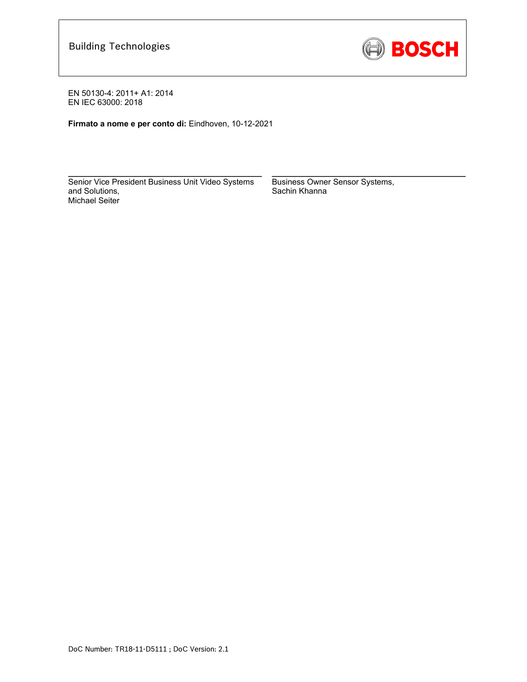

**Firmato a nome e per conto di:** Eindhoven, 10-12-2021

Senior Vice President Business Unit Video Systems and Solutions, Michael Seiter

\_\_\_\_\_\_\_\_\_\_\_\_\_\_\_\_\_\_\_\_\_\_\_\_\_\_\_\_\_\_\_\_\_\_\_\_\_\_\_\_\_\_\_

Business Owner Sensor Systems, Sachin Khanna

\_\_\_\_\_\_\_\_\_\_\_\_\_\_\_\_\_\_\_\_\_\_\_\_\_\_\_\_\_\_\_\_\_\_\_\_\_\_\_\_\_\_\_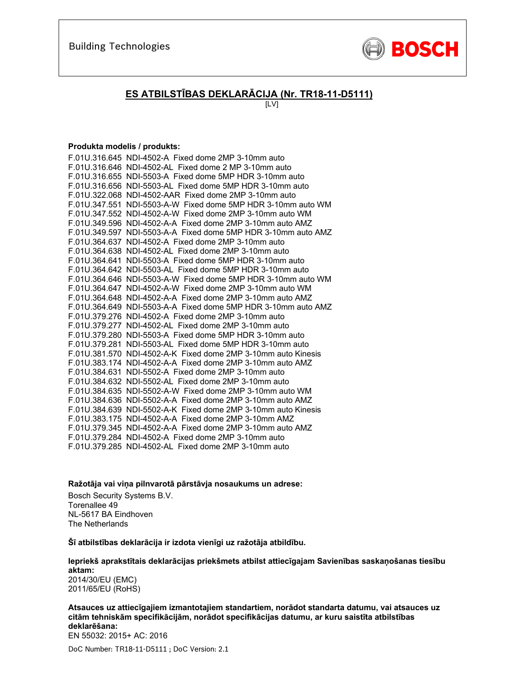

## **ES ATBILSTĪBAS DEKLARĀCIJA (Nr. TR18-11-D5111)**

[LV]

#### **Produkta modelis / produkts:**

| F.01U.316.645 NDI-4502-A Fixed dome 2MP 3-10mm auto           |
|---------------------------------------------------------------|
| F.01U.316.646 NDI-4502-AL Fixed dome 2 MP 3-10mm auto         |
| F.01U.316.655 NDI-5503-A Fixed dome 5MP HDR 3-10mm auto       |
| F.01U.316.656 NDI-5503-AL Fixed dome 5MP HDR 3-10mm auto      |
| F.01U.322.068 NDI-4502-AAR Fixed dome 2MP 3-10mm auto         |
| F.01U.347.551 NDI-5503-A-W Fixed dome 5MP HDR 3-10mm auto WM  |
| F.01U.347.552 NDI-4502-A-W Fixed dome 2MP 3-10mm auto WM      |
| F.01U.349.596 NDI-4502-A-A Fixed dome 2MP 3-10mm auto AMZ     |
| F.01U.349.597 NDI-5503-A-A Fixed dome 5MP HDR 3-10mm auto AMZ |
| F.01U.364.637 NDI-4502-A Fixed dome 2MP 3-10mm auto           |
| F.01U.364.638 NDI-4502-AL Fixed dome 2MP 3-10mm auto          |
| F.01U.364.641 NDI-5503-A Fixed dome 5MP HDR 3-10mm auto       |
| F.01U.364.642 NDI-5503-AL Fixed dome 5MP HDR 3-10mm auto      |
| F.01U.364.646 NDI-5503-A-W Fixed dome 5MP HDR 3-10mm auto WM  |
| F.01U.364.647 NDI-4502-A-W Fixed dome 2MP 3-10mm auto WM      |
| F.01U.364.648 NDI-4502-A-A Fixed dome 2MP 3-10mm auto AMZ     |
| F.01U.364.649 NDI-5503-A-A Fixed dome 5MP HDR 3-10mm auto AMZ |
| F.01U.379.276 NDI-4502-A Fixed dome 2MP 3-10mm auto           |
| F.01U.379.277 NDI-4502-AL Fixed dome 2MP 3-10mm auto          |
| F.01U.379.280 NDI-5503-A Fixed dome 5MP HDR 3-10mm auto       |
| F.01U.379.281 NDI-5503-AL Fixed dome 5MP HDR 3-10mm auto      |
| F.01U.381.570 NDI-4502-A-K Fixed dome 2MP 3-10mm auto Kinesis |
| F.01U.383.174 NDI-4502-A-A Fixed dome 2MP 3-10mm auto AMZ     |
| F.01U.384.631 NDI-5502-A Fixed dome 2MP 3-10mm auto           |
| F.01U.384.632 NDI-5502-AL Fixed dome 2MP 3-10mm auto          |
| F.01U.384.635 NDI-5502-A-W Fixed dome 2MP 3-10mm auto WM      |
| F.01U.384.636 NDI-5502-A-A Fixed dome 2MP 3-10mm auto AMZ     |
| F.01U.384.639 NDI-5502-A-K Fixed dome 2MP 3-10mm auto Kinesis |
| F.01U.383.175 NDI-4502-A-A Fixed dome 2MP 3-10mm AMZ          |
| F.01U.379.345 NDI-4502-A-A Fixed dome 2MP 3-10mm auto AMZ     |
| F.01U.379.284 NDI-4502-A Fixed dome 2MP 3-10mm auto           |
| F.01U.379.285 NDI-4502-AL Fixed dome 2MP 3-10mm auto          |

**Ražotāja vai viņa pilnvarotā pārstāvja nosaukums un adrese:** 

Bosch Security Systems B.V. Torenallee 49 NL-5617 BA Eindhoven The Netherlands

**Šī atbilstības deklarācija ir izdota vienīgi uz ražotāja atbildību.** 

**Iepriekš aprakstītais deklarācijas priekšmets atbilst attiecīgajam Savienības saskaņošanas tiesību aktam:** 2014/30/EU (EMC) 2011/65/EU (RoHS)

**Atsauces uz attiecīgajiem izmantotajiem standartiem, norādot standarta datumu, vai atsauces uz citām tehniskām specifikācijām, norādot specifikācijas datumu, ar kuru saistīta atbilstības deklarēšana:**  EN 55032: 2015+ AC: 2016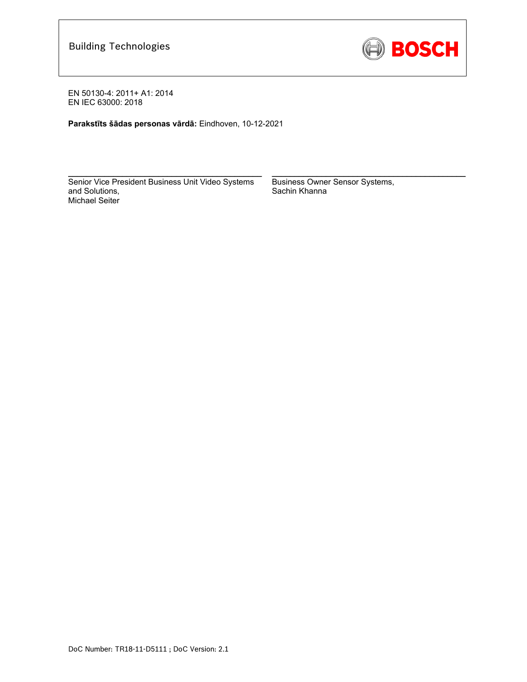

**Parakstīts šādas personas vārdā:** Eindhoven, 10-12-2021

Senior Vice President Business Unit Video Systems and Solutions, Michael Seiter

\_\_\_\_\_\_\_\_\_\_\_\_\_\_\_\_\_\_\_\_\_\_\_\_\_\_\_\_\_\_\_\_\_\_\_\_\_\_\_\_\_\_\_

Business Owner Sensor Systems, Sachin Khanna

\_\_\_\_\_\_\_\_\_\_\_\_\_\_\_\_\_\_\_\_\_\_\_\_\_\_\_\_\_\_\_\_\_\_\_\_\_\_\_\_\_\_\_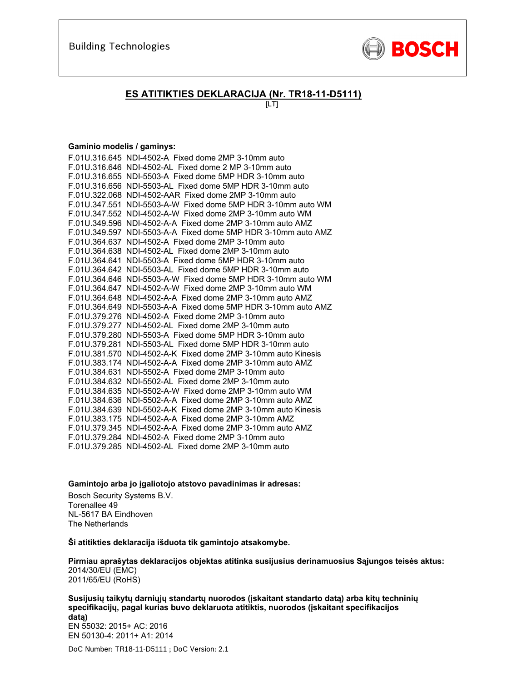

### **ES ATITIKTIES DEKLARACIJA (Nr. TR18-11-D5111)**

 $[LT]$ 

#### **Gaminio modelis / gaminys:**

| F.01U.316.645 NDI-4502-A Fixed dome 2MP 3-10mm auto           |
|---------------------------------------------------------------|
| F.01U.316.646 NDI-4502-AL Fixed dome 2 MP 3-10mm auto         |
| F.01U.316.655 NDI-5503-A Fixed dome 5MP HDR 3-10mm auto       |
| F.01U.316.656 NDI-5503-AL Fixed dome 5MP HDR 3-10mm auto      |
| F.01U.322.068 NDI-4502-AAR Fixed dome 2MP 3-10mm auto         |
| F.01U.347.551 NDI-5503-A-W Fixed dome 5MP HDR 3-10mm auto WM  |
| F.01U.347.552 NDI-4502-A-W Fixed dome 2MP 3-10mm auto WM      |
| F.01U.349.596 NDI-4502-A-A Fixed dome 2MP 3-10mm auto AMZ     |
| F.01U.349.597 NDI-5503-A-A Fixed dome 5MP HDR 3-10mm auto AMZ |
| F.01U.364.637 NDI-4502-A Fixed dome 2MP 3-10mm auto           |
| F.01U.364.638 NDI-4502-AL Fixed dome 2MP 3-10mm auto          |
| F.01U.364.641 NDI-5503-A Fixed dome 5MP HDR 3-10mm auto       |
| F.01U.364.642 NDI-5503-AL Fixed dome 5MP HDR 3-10mm auto      |
| F.01U.364.646 NDI-5503-A-W Fixed dome 5MP HDR 3-10mm auto WM  |
| F.01U.364.647 NDI-4502-A-W Fixed dome 2MP 3-10mm auto WM      |
| F.01U.364.648 NDI-4502-A-A Fixed dome 2MP 3-10mm auto AMZ     |
| F.01U.364.649 NDI-5503-A-A Fixed dome 5MP HDR 3-10mm auto AMZ |
| F.01U.379.276 NDI-4502-A Fixed dome 2MP 3-10mm auto           |
| F.01U.379.277 NDI-4502-AL Fixed dome 2MP 3-10mm auto          |
| F.01U.379.280 NDI-5503-A Fixed dome 5MP HDR 3-10mm auto       |
| F.01U.379.281 NDI-5503-AL Fixed dome 5MP HDR 3-10mm auto      |
| F.01U.381.570 NDI-4502-A-K Fixed dome 2MP 3-10mm auto Kinesis |
| F.01U.383.174 NDI-4502-A-A Fixed dome 2MP 3-10mm auto AMZ     |
| F.01U.384.631 NDI-5502-A Fixed dome 2MP 3-10mm auto           |
| F.01U.384.632 NDI-5502-AL Fixed dome 2MP 3-10mm auto          |
| F.01U.384.635 NDI-5502-A-W Fixed dome 2MP 3-10mm auto WM      |
| F.01U.384.636 NDI-5502-A-A Fixed dome 2MP 3-10mm auto AMZ     |
| F.01U.384.639 NDI-5502-A-K Fixed dome 2MP 3-10mm auto Kinesis |
| F.01U.383.175 NDI-4502-A-A Fixed dome 2MP 3-10mm AMZ          |
| F.01U.379.345 NDI-4502-A-A Fixed dome 2MP 3-10mm auto AMZ     |
| F.01U.379.284 NDI-4502-A Fixed dome 2MP 3-10mm auto           |
| F.01U.379.285 NDI-4502-AL Fixed dome 2MP 3-10mm auto          |

**Gamintojo arba jo įgaliotojo atstovo pavadinimas ir adresas:** 

Bosch Security Systems B.V. Torenallee 49 NL-5617 BA Eindhoven The Netherlands

**Ši atitikties deklaracija išduota tik gamintojo atsakomybe.** 

**Pirmiau aprašytas deklaracijos objektas atitinka susijusius derinamuosius Sąjungos teisės aktus:** 2014/30/EU (EMC) 2011/65/EU (RoHS)

**Susijusių taikytų darniųjų standartų nuorodos (įskaitant standarto datą) arba kitų techninių specifikacijų, pagal kurias buvo deklaruota atitiktis, nuorodos (įskaitant specifikacijos datą)**  EN 55032: 2015+ AC: 2016 EN 50130-4: 2011+ A1: 2014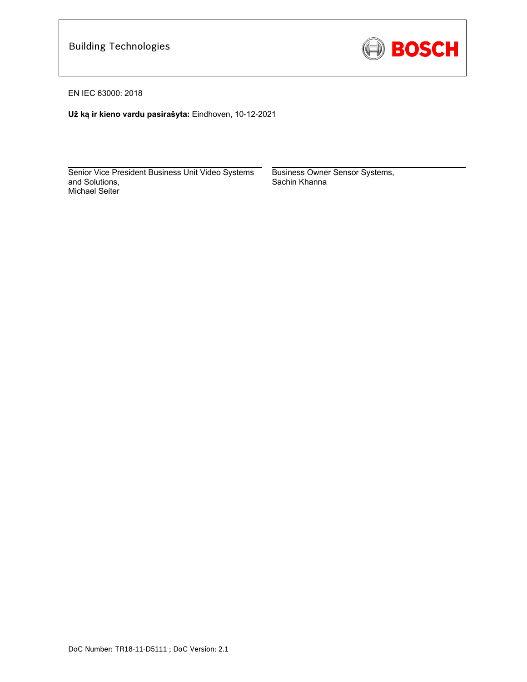

EN IEC 63000: 2018

**Už ką ir kieno vardu pasirašyta:** Eindhoven, 10-12-2021

 $\mathcal{L}_\text{max}$  and  $\mathcal{L}_\text{max}$  and  $\mathcal{L}_\text{max}$  and  $\mathcal{L}_\text{max}$  and  $\mathcal{L}_\text{max}$ Senior Vice President Business Unit Video Systems and Solutions, Michael Seiter

Business Owner Sensor Systems, Sachin Khanna

 $\mathcal{L}_\text{max}$  and  $\mathcal{L}_\text{max}$  and  $\mathcal{L}_\text{max}$  and  $\mathcal{L}_\text{max}$  and  $\mathcal{L}_\text{max}$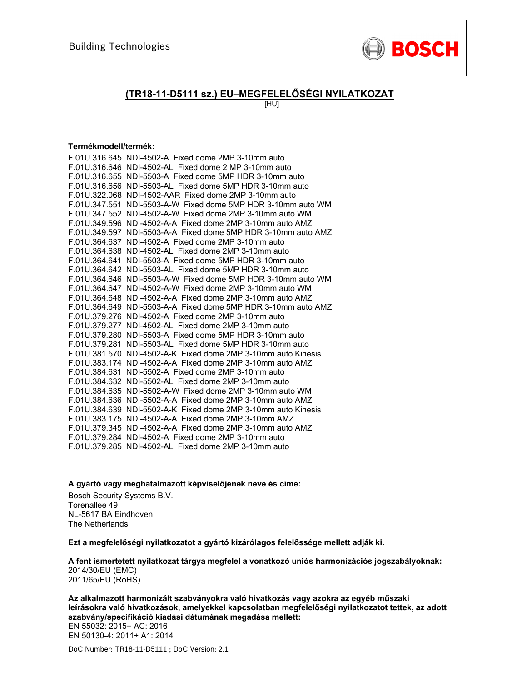

### **(TR18-11-D5111 sz.) EU–MEGFELELŐSÉGI NYILATKOZAT**

[HU]

### **Termékmodell/termék:**

| F.01U.316.645 NDI-4502-A Fixed dome 2MP 3-10mm auto           |
|---------------------------------------------------------------|
| F.01U.316.646 NDI-4502-AL Fixed dome 2 MP 3-10mm auto         |
| F.01U.316.655 NDI-5503-A Fixed dome 5MP HDR 3-10mm auto       |
| F.01U.316.656 NDI-5503-AL Fixed dome 5MP HDR 3-10mm auto      |
| F.01U.322.068 NDI-4502-AAR Fixed dome 2MP 3-10mm auto         |
| F.01U.347.551 NDI-5503-A-W Fixed dome 5MP HDR 3-10mm auto WM  |
| F.01U.347.552 NDI-4502-A-W Fixed dome 2MP 3-10mm auto WM      |
| F.01U.349.596 NDI-4502-A-A Fixed dome 2MP 3-10mm auto AMZ     |
| F.01U.349.597 NDI-5503-A-A Fixed dome 5MP HDR 3-10mm auto AMZ |
| F.01U.364.637 NDI-4502-A Fixed dome 2MP 3-10mm auto           |
| F.01U.364.638 NDI-4502-AL Fixed dome 2MP 3-10mm auto          |
| F.01U.364.641 NDI-5503-A Fixed dome 5MP HDR 3-10mm auto       |
| F.01U.364.642 NDI-5503-AL Fixed dome 5MP HDR 3-10mm auto      |
| F.01U.364.646 NDI-5503-A-W Fixed dome 5MP HDR 3-10mm auto WM  |
| F.01U.364.647 NDI-4502-A-W Fixed dome 2MP 3-10mm auto WM      |
| F.01U.364.648 NDI-4502-A-A Fixed dome 2MP 3-10mm auto AMZ     |
| F.01U.364.649 NDI-5503-A-A Fixed dome 5MP HDR 3-10mm auto AMZ |
| F.01U.379.276 NDI-4502-A Fixed dome 2MP 3-10mm auto           |
| F.01U.379.277 NDI-4502-AL Fixed dome 2MP 3-10mm auto          |
| F.01U.379.280 NDI-5503-A Fixed dome 5MP HDR 3-10mm auto       |
| F.01U.379.281 NDI-5503-AL Fixed dome 5MP HDR 3-10mm auto      |
| F.01U.381.570 NDI-4502-A-K Fixed dome 2MP 3-10mm auto Kinesis |
| F.01U.383.174 NDI-4502-A-A Fixed dome 2MP 3-10mm auto AMZ     |
| F.01U.384.631 NDI-5502-A Fixed dome 2MP 3-10mm auto           |
| F.01U.384.632 NDI-5502-AL Fixed dome 2MP 3-10mm auto          |
| F.01U.384.635 NDI-5502-A-W Fixed dome 2MP 3-10mm auto WM      |
| F.01U.384.636 NDI-5502-A-A Fixed dome 2MP 3-10mm auto AMZ     |
| F.01U.384.639 NDI-5502-A-K Fixed dome 2MP 3-10mm auto Kinesis |
| F.01U.383.175 NDI-4502-A-A Fixed dome 2MP 3-10mm AMZ          |
| F.01U.379.345 NDI-4502-A-A Fixed dome 2MP 3-10mm auto AMZ     |
| F.01U.379.284 NDI-4502-A Fixed dome 2MP 3-10mm auto           |
| F.01U.379.285 NDI-4502-AL Fixed dome 2MP 3-10mm auto          |

**A gyártó vagy meghatalmazott képviselőjének neve és címe:** 

Bosch Security Systems B.V. Torenallee 49 NL-5617 BA Eindhoven The Netherlands

**Ezt a megfelelőségi nyilatkozatot a gyártó kizárólagos felelőssége mellett adják ki.** 

**A fent ismertetett nyilatkozat tárgya megfelel a vonatkozó uniós harmonizációs jogszabályoknak:** 2014/30/EU (EMC) 2011/65/EU (RoHS)

**Az alkalmazott harmonizált szabványokra való hivatkozás vagy azokra az egyéb műszaki leírásokra való hivatkozások, amelyekkel kapcsolatban megfelelőségi nyilatkozatot tettek, az adott szabvány/specifikáció kiadási dátumának megadása mellett:**  EN 55032: 2015+ AC: 2016 EN 50130-4: 2011+ A1: 2014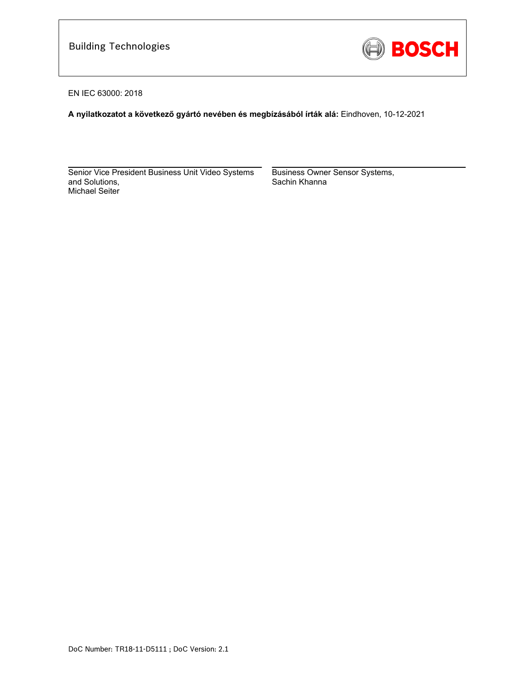

EN IEC 63000: 2018

**A nyilatkozatot a következő gyártó nevében és megbízásából írták alá:** Eindhoven, 10-12-2021

Senior Vice President Business Unit Video Systems and Solutions, Michael Seiter

 $\mathcal{L}_\text{max}$  and  $\mathcal{L}_\text{max}$  and  $\mathcal{L}_\text{max}$  and  $\mathcal{L}_\text{max}$  and  $\mathcal{L}_\text{max}$ 

Business Owner Sensor Systems, Sachin Khanna

\_\_\_\_\_\_\_\_\_\_\_\_\_\_\_\_\_\_\_\_\_\_\_\_\_\_\_\_\_\_\_\_\_\_\_\_\_\_\_\_\_\_\_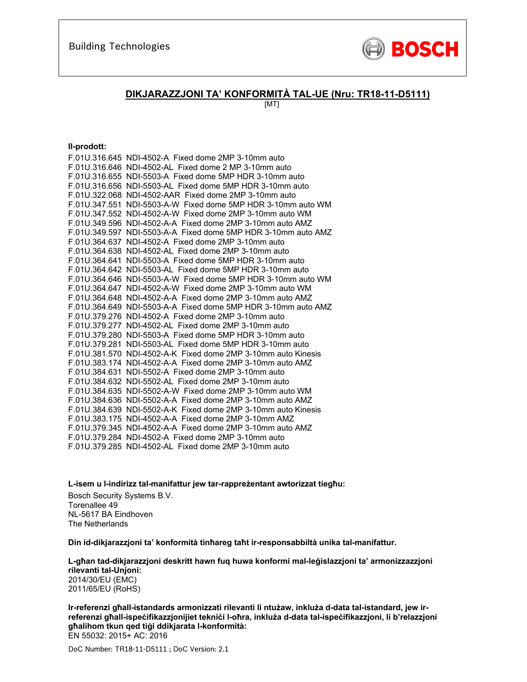

### **DIKJARAZZJONI TA' KONFORMITÀ TAL-UE (Nru: TR18-11-D5111)**

[MT]

#### **Il-prodott:**

| F.01U.316.645 NDI-4502-A Fixed dome 2MP 3-10mm auto           |
|---------------------------------------------------------------|
| F.01U.316.646 NDI-4502-AL Fixed dome 2 MP 3-10mm auto         |
| F.01U.316.655 NDI-5503-A Fixed dome 5MP HDR 3-10mm auto       |
| F.01U.316.656 NDI-5503-AL Fixed dome 5MP HDR 3-10mm auto      |
| F.01U.322.068 NDI-4502-AAR Fixed dome 2MP 3-10mm auto         |
| F.01U.347.551 NDI-5503-A-W Fixed dome 5MP HDR 3-10mm auto WM  |
| F.01U.347.552 NDI-4502-A-W Fixed dome 2MP 3-10mm auto WM      |
| F.01U.349.596 NDI-4502-A-A Fixed dome 2MP 3-10mm auto AMZ     |
| F.01U.349.597 NDI-5503-A-A Fixed dome 5MP HDR 3-10mm auto AMZ |
| F.01U.364.637 NDI-4502-A Fixed dome 2MP 3-10mm auto           |
| F.01U.364.638 NDI-4502-AL Fixed dome 2MP 3-10mm auto          |
| F.01U.364.641 NDI-5503-A Fixed dome 5MP HDR 3-10mm auto       |
| F.01U.364.642 NDI-5503-AL Fixed dome 5MP HDR 3-10mm auto      |
| F.01U.364.646 NDI-5503-A-W Fixed dome 5MP HDR 3-10mm auto WM  |
| F.01U.364.647 NDI-4502-A-W Fixed dome 2MP 3-10mm auto WM      |
| F.01U.364.648 NDI-4502-A-A Fixed dome 2MP 3-10mm auto AMZ     |
| F.01U.364.649 NDI-5503-A-A Fixed dome 5MP HDR 3-10mm auto AMZ |
| F.01U.379.276 NDI-4502-A Fixed dome 2MP 3-10mm auto           |
| F.01U.379.277 NDI-4502-AL Fixed dome 2MP 3-10mm auto          |
| F.01U.379.280 NDI-5503-A Fixed dome 5MP HDR 3-10mm auto       |
| F.01U.379.281 NDI-5503-AL Fixed dome 5MP HDR 3-10mm auto      |
| F.01U.381.570 NDI-4502-A-K Fixed dome 2MP 3-10mm auto Kinesis |
| F.01U.383.174 NDI-4502-A-A Fixed dome 2MP 3-10mm auto AMZ     |
| F.01U.384.631 NDI-5502-A Fixed dome 2MP 3-10mm auto           |
| F.01U.384.632 NDI-5502-AL Fixed dome 2MP 3-10mm auto          |
| F.01U.384.635 NDI-5502-A-W Fixed dome 2MP 3-10mm auto WM      |
| F.01U.384.636 NDI-5502-A-A Fixed dome 2MP 3-10mm auto AMZ     |
| F.01U.384.639 NDI-5502-A-K Fixed dome 2MP 3-10mm auto Kinesis |
| F.01U.383.175 NDI-4502-A-A Fixed dome 2MP 3-10mm AMZ          |
| F.01U.379.345 NDI-4502-A-A Fixed dome 2MP 3-10mm auto AMZ     |
| F.01U.379.284 NDI-4502-A Fixed dome 2MP 3-10mm auto           |
| F.01U.379.285 NDI-4502-AL Fixed dome 2MP 3-10mm auto          |

**L-isem u l-indirizz tal-manifattur jew tar-rappreżentant awtorizzat tiegħu:** 

Bosch Security Systems B.V. Torenallee 49 NL-5617 BA Eindhoven The Netherlands

**Din id-dikjarazzjoni ta' konformità tinħareg taħt ir-responsabbiltà unika tal-manifattur.** 

**L-għan tad-dikjarazzjoni deskritt hawn fuq huwa konformi mal-leġislazzjoni ta' armonizzazzjoni rilevanti tal-Unjoni:** 2014/30/EU (EMC) 2011/65/EU (RoHS)

**Ir-referenzi għall-istandards armonizzati rilevanti li ntużaw, inkluża d-data tal-istandard, jew irreferenzi għall-ispeċifikazzjonijiet tekniċi l-oħra, inkluża d-data tal-ispeċifikazzjoni, li b'relazzjoni għalihom tkun qed tiġi ddikjarata l-konformità:**  EN 55032: 2015+ AC: 2016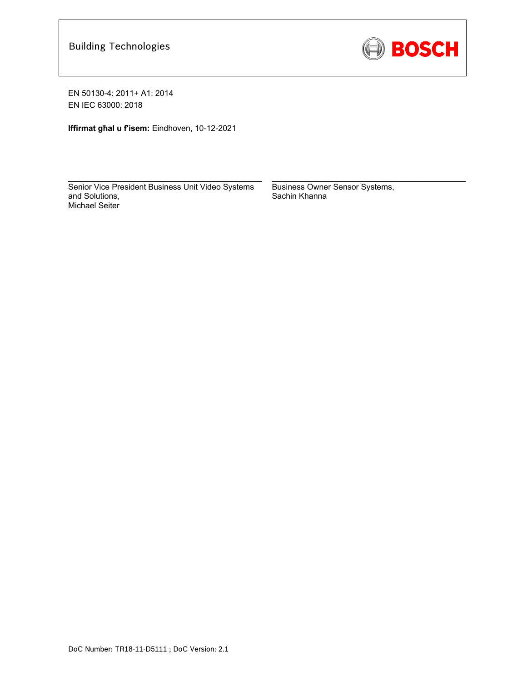

**Iffirmat għal u f'isem:** Eindhoven, 10-12-2021

\_\_\_\_\_\_\_\_\_\_\_\_\_\_\_\_\_\_\_\_\_\_\_\_\_\_\_\_\_\_\_\_\_\_\_\_\_\_\_\_\_\_\_ Senior Vice President Business Unit Video Systems and Solutions, Michael Seiter

Business Owner Sensor Systems, Sachin Khanna

\_\_\_\_\_\_\_\_\_\_\_\_\_\_\_\_\_\_\_\_\_\_\_\_\_\_\_\_\_\_\_\_\_\_\_\_\_\_\_\_\_\_\_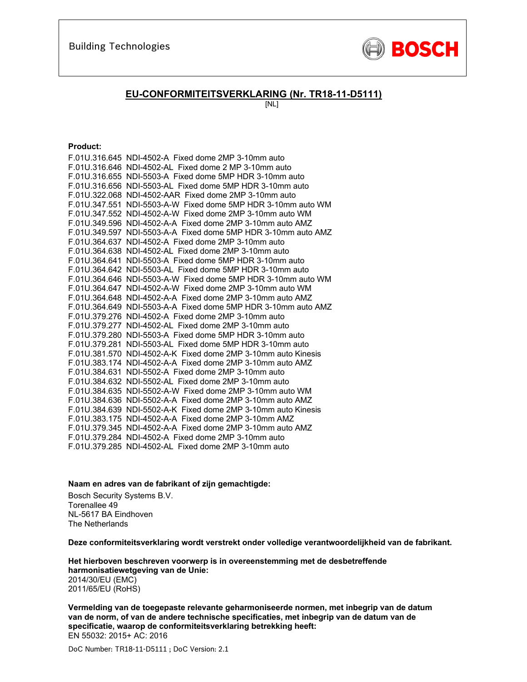

### **EU-CONFORMITEITSVERKLARING (Nr. TR18-11-D5111)**

[NL]

#### **Product:**

| F.01U.316.645 NDI-4502-A Fixed dome 2MP 3-10mm auto           |
|---------------------------------------------------------------|
| F.01U.316.646 NDI-4502-AL Fixed dome 2 MP 3-10mm auto         |
| F.01U.316.655 NDI-5503-A Fixed dome 5MP HDR 3-10mm auto       |
| F.01U.316.656 NDI-5503-AL Fixed dome 5MP HDR 3-10mm auto      |
| F.01U.322.068 NDI-4502-AAR Fixed dome 2MP 3-10mm auto         |
| F.01U.347.551 NDI-5503-A-W Fixed dome 5MP HDR 3-10mm auto WM  |
| F.01U.347.552 NDI-4502-A-W Fixed dome 2MP 3-10mm auto WM      |
| F.01U.349.596 NDI-4502-A-A Fixed dome 2MP 3-10mm auto AMZ     |
| F.01U.349.597 NDI-5503-A-A Fixed dome 5MP HDR 3-10mm auto AMZ |
| F.01U.364.637 NDI-4502-A Fixed dome 2MP 3-10mm auto           |
| F.01U.364.638 NDI-4502-AL Fixed dome 2MP 3-10mm auto          |
| F.01U.364.641 NDI-5503-A Fixed dome 5MP HDR 3-10mm auto       |
| F.01U.364.642 NDI-5503-AL Fixed dome 5MP HDR 3-10mm auto      |
| F.01U.364.646 NDI-5503-A-W Fixed dome 5MP HDR 3-10mm auto WM  |
| F.01U.364.647 NDI-4502-A-W Fixed dome 2MP 3-10mm auto WM      |
| F.01U.364.648 NDI-4502-A-A Fixed dome 2MP 3-10mm auto AMZ     |
| F.01U.364.649 NDI-5503-A-A Fixed dome 5MP HDR 3-10mm auto AMZ |
| F.01U.379.276 NDI-4502-A Fixed dome 2MP 3-10mm auto           |
| F.01U.379.277 NDI-4502-AL Fixed dome 2MP 3-10mm auto          |
| F.01U.379.280 NDI-5503-A Fixed dome 5MP HDR 3-10mm auto       |
| F.01U.379.281 NDI-5503-AL Fixed dome 5MP HDR 3-10mm auto      |
| F.01U.381.570 NDI-4502-A-K Fixed dome 2MP 3-10mm auto Kinesis |
| F.01U.383.174 NDI-4502-A-A Fixed dome 2MP 3-10mm auto AMZ     |
| F.01U.384.631 NDI-5502-A Fixed dome 2MP 3-10mm auto           |
| F.01U.384.632 NDI-5502-AL Fixed dome 2MP 3-10mm auto          |
| F.01U.384.635 NDI-5502-A-W Fixed dome 2MP 3-10mm auto WM      |
| F.01U.384.636 NDI-5502-A-A Fixed dome 2MP 3-10mm auto AMZ     |
| F.01U.384.639 NDI-5502-A-K Fixed dome 2MP 3-10mm auto Kinesis |
| F.01U.383.175 NDI-4502-A-A Fixed dome 2MP 3-10mm AMZ          |
| F.01U.379.345 NDI-4502-A-A Fixed dome 2MP 3-10mm auto AMZ     |
| F.01U.379.284 NDI-4502-A Fixed dome 2MP 3-10mm auto           |
| F.01U.379.285 NDI-4502-AL Fixed dome 2MP 3-10mm auto          |

#### **Naam en adres van de fabrikant of zijn gemachtigde:**

Bosch Security Systems B.V. Torenallee 49 NL-5617 BA Eindhoven The Netherlands

**Deze conformiteitsverklaring wordt verstrekt onder volledige verantwoordelijkheid van de fabrikant.** 

**Het hierboven beschreven voorwerp is in overeenstemming met de desbetreffende harmonisatiewetgeving van de Unie:** 2014/30/EU (EMC) 2011/65/EU (RoHS)

**Vermelding van de toegepaste relevante geharmoniseerde normen, met inbegrip van de datum van de norm, of van de andere technische specificaties, met inbegrip van de datum van de specificatie, waarop de conformiteitsverklaring betrekking heeft:**  EN 55032: 2015+ AC: 2016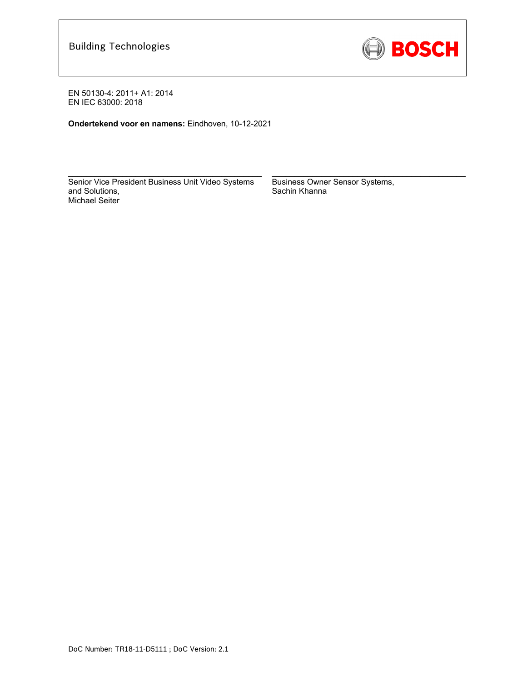

**Ondertekend voor en namens:** Eindhoven, 10-12-2021

Senior Vice President Business Unit Video Systems and Solutions, Michael Seiter

 $\mathcal{L}_\text{max} = \frac{1}{2} \sum_{i=1}^n \mathcal{L}_\text{max}(\mathbf{z}_i - \mathbf{z}_i)$ 

Business Owner Sensor Systems, Sachin Khanna

 $\mathcal{L}_\text{max} = \frac{1}{2} \sum_{i=1}^n \mathcal{L}_\text{max}(\mathbf{z}_i - \mathbf{z}_i)$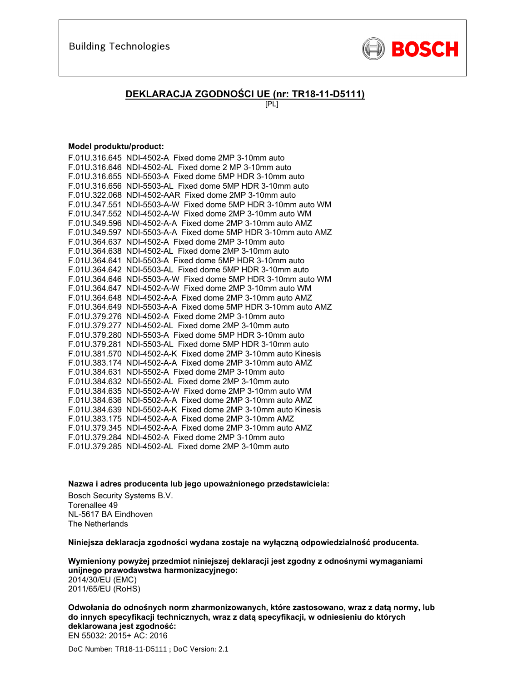

### **DEKLARACJA ZGODNOŚCI UE (nr: TR18-11-D5111)**

[PL]

#### **Model produktu/product:**

| F.01U.316.645 NDI-4502-A Fixed dome 2MP 3-10mm auto           |
|---------------------------------------------------------------|
| F.01U.316.646 NDI-4502-AL Fixed dome 2 MP 3-10mm auto         |
| F.01U.316.655 NDI-5503-A Fixed dome 5MP HDR 3-10mm auto       |
| F.01U.316.656 NDI-5503-AL Fixed dome 5MP HDR 3-10mm auto      |
| F.01U.322.068 NDI-4502-AAR Fixed dome 2MP 3-10mm auto         |
| F.01U.347.551 NDI-5503-A-W Fixed dome 5MP HDR 3-10mm auto WM  |
| F.01U.347.552 NDI-4502-A-W Fixed dome 2MP 3-10mm auto WM      |
| F.01U.349.596 NDI-4502-A-A Fixed dome 2MP 3-10mm auto AMZ     |
| F.01U.349.597 NDI-5503-A-A Fixed dome 5MP HDR 3-10mm auto AMZ |
| F.01U.364.637 NDI-4502-A Fixed dome 2MP 3-10mm auto           |
| F.01U.364.638 NDI-4502-AL Fixed dome 2MP 3-10mm auto          |
| F.01U.364.641 NDI-5503-A Fixed dome 5MP HDR 3-10mm auto       |
| F.01U.364.642 NDI-5503-AL Fixed dome 5MP HDR 3-10mm auto      |
| F.01U.364.646 NDI-5503-A-W Fixed dome 5MP HDR 3-10mm auto WM  |
| F.01U.364.647 NDI-4502-A-W Fixed dome 2MP 3-10mm auto WM      |
| F.01U.364.648 NDI-4502-A-A Fixed dome 2MP 3-10mm auto AMZ     |
| F.01U.364.649 NDI-5503-A-A Fixed dome 5MP HDR 3-10mm auto AMZ |
| F.01U.379.276 NDI-4502-A Fixed dome 2MP 3-10mm auto           |
| F.01U.379.277 NDI-4502-AL Fixed dome 2MP 3-10mm auto          |
| F.01U.379.280 NDI-5503-A Fixed dome 5MP HDR 3-10mm auto       |
| F.01U.379.281 NDI-5503-AL Fixed dome 5MP HDR 3-10mm auto      |
| F.01U.381.570 NDI-4502-A-K Fixed dome 2MP 3-10mm auto Kinesis |
| F.01U.383.174 NDI-4502-A-A Fixed dome 2MP 3-10mm auto AMZ     |
| F.01U.384.631 NDI-5502-A Fixed dome 2MP 3-10mm auto           |
| F.01U.384.632 NDI-5502-AL Fixed dome 2MP 3-10mm auto          |
| F.01U.384.635 NDI-5502-A-W Fixed dome 2MP 3-10mm auto WM      |
| F.01U.384.636 NDI-5502-A-A Fixed dome 2MP 3-10mm auto AMZ     |
| F.01U.384.639 NDI-5502-A-K Fixed dome 2MP 3-10mm auto Kinesis |
| F.01U.383.175 NDI-4502-A-A Fixed dome 2MP 3-10mm AMZ          |
| F.01U.379.345 NDI-4502-A-A Fixed dome 2MP 3-10mm auto AMZ     |
| F.01U.379.284 NDI-4502-A Fixed dome 2MP 3-10mm auto           |
| F.01U.379.285 NDI-4502-AL Fixed dome 2MP 3-10mm auto          |

**Nazwa i adres producenta lub jego upoważnionego przedstawiciela:** 

Bosch Security Systems B.V. Torenallee 49 NL-5617 BA Eindhoven The Netherlands

**Niniejsza deklaracja zgodności wydana zostaje na wyłączną odpowiedzialność producenta.** 

**Wymieniony powyżej przedmiot niniejszej deklaracji jest zgodny z odnośnymi wymaganiami unijnego prawodawstwa harmonizacyjnego:** 2014/30/EU (EMC) 2011/65/EU (RoHS)

**Odwołania do odnośnych norm zharmonizowanych, które zastosowano, wraz z datą normy, lub do innych specyfikacji technicznych, wraz z datą specyfikacji, w odniesieniu do których deklarowana jest zgodność:**  EN 55032: 2015+ AC: 2016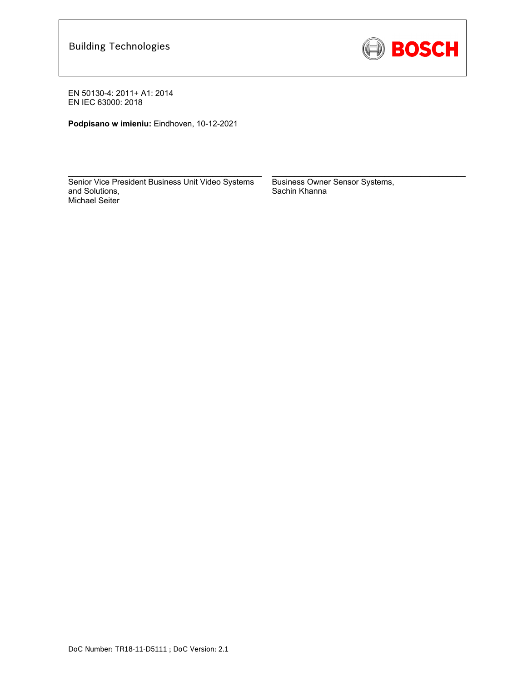

**Podpisano w imieniu:** Eindhoven, 10-12-2021

Senior Vice President Business Unit Video Systems and Solutions, Michael Seiter

 $\mathcal{L}_\text{max}$  and  $\mathcal{L}_\text{max}$  and  $\mathcal{L}_\text{max}$  and  $\mathcal{L}_\text{max}$ 

Business Owner Sensor Systems, Sachin Khanna

 $\mathcal{L}_\text{max}$  and  $\mathcal{L}_\text{max}$  and  $\mathcal{L}_\text{max}$  and  $\mathcal{L}_\text{max}$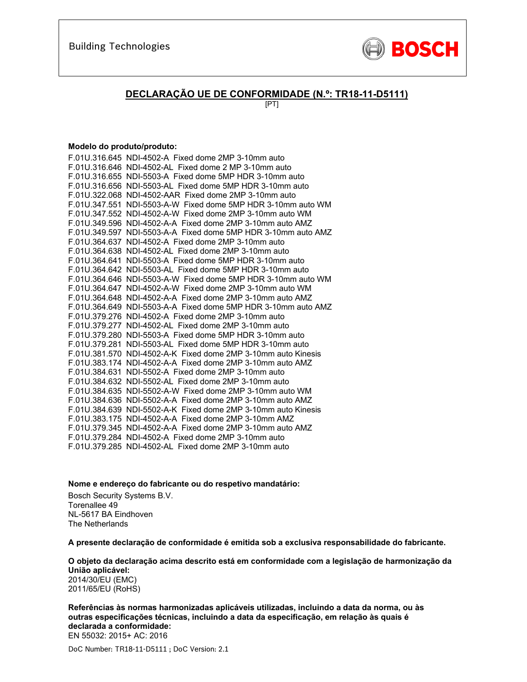

### **DECLARAÇÃO UE DE CONFORMIDADE (N.º: TR18-11-D5111)**

[PT]

#### **Modelo do produto/produto:**

| F.01U.316.645 NDI-4502-A Fixed dome 2MP 3-10mm auto           |
|---------------------------------------------------------------|
| F.01U.316.646 NDI-4502-AL Fixed dome 2 MP 3-10mm auto         |
| F.01U.316.655 NDI-5503-A Fixed dome 5MP HDR 3-10mm auto       |
| F.01U.316.656 NDI-5503-AL Fixed dome 5MP HDR 3-10mm auto      |
| F.01U.322.068 NDI-4502-AAR Fixed dome 2MP 3-10mm auto         |
| F.01U.347.551 NDI-5503-A-W Fixed dome 5MP HDR 3-10mm auto WM  |
| F.01U.347.552 NDI-4502-A-W Fixed dome 2MP 3-10mm auto WM      |
| F.01U.349.596 NDI-4502-A-A Fixed dome 2MP 3-10mm auto AMZ     |
| F.01U.349.597 NDI-5503-A-A Fixed dome 5MP HDR 3-10mm auto AMZ |
| F.01U.364.637 NDI-4502-A Fixed dome 2MP 3-10mm auto           |
| F.01U.364.638 NDI-4502-AL Fixed dome 2MP 3-10mm auto          |
| F.01U.364.641 NDI-5503-A Fixed dome 5MP HDR 3-10mm auto       |
| F.01U.364.642 NDI-5503-AL Fixed dome 5MP HDR 3-10mm auto      |
| F.01U.364.646 NDI-5503-A-W Fixed dome 5MP HDR 3-10mm auto WM  |
| F.01U.364.647 NDI-4502-A-W Fixed dome 2MP 3-10mm auto WM      |
| F.01U.364.648 NDI-4502-A-A Fixed dome 2MP 3-10mm auto AMZ     |
| F.01U.364.649 NDI-5503-A-A Fixed dome 5MP HDR 3-10mm auto AMZ |
| F.01U.379.276 NDI-4502-A Fixed dome 2MP 3-10mm auto           |
| F.01U.379.277 NDI-4502-AL Fixed dome 2MP 3-10mm auto          |
| F.01U.379.280 NDI-5503-A Fixed dome 5MP HDR 3-10mm auto       |
| F.01U.379.281 NDI-5503-AL Fixed dome 5MP HDR 3-10mm auto      |
| F.01U.381.570 NDI-4502-A-K Fixed dome 2MP 3-10mm auto Kinesis |
| F.01U.383.174 NDI-4502-A-A Fixed dome 2MP 3-10mm auto AMZ     |
| F.01U.384.631 NDI-5502-A Fixed dome 2MP 3-10mm auto           |
| F.01U.384.632 NDI-5502-AL Fixed dome 2MP 3-10mm auto          |
| F.01U.384.635 NDI-5502-A-W Fixed dome 2MP 3-10mm auto WM      |
| F.01U.384.636 NDI-5502-A-A Fixed dome 2MP 3-10mm auto AMZ     |
| F.01U.384.639 NDI-5502-A-K Fixed dome 2MP 3-10mm auto Kinesis |
| F.01U.383.175 NDI-4502-A-A Fixed dome 2MP 3-10mm AMZ          |
| F.01U.379.345 NDI-4502-A-A Fixed dome 2MP 3-10mm auto AMZ     |
| F.01U.379.284 NDI-4502-A Fixed dome 2MP 3-10mm auto           |
| F.01U.379.285 NDI-4502-AL Fixed dome 2MP 3-10mm auto          |

**Nome e endereço do fabricante ou do respetivo mandatário:** 

Bosch Security Systems B.V. Torenallee 49 NL-5617 BA Eindhoven The Netherlands

**A presente declaração de conformidade é emitida sob a exclusiva responsabilidade do fabricante.** 

**O objeto da declaração acima descrito está em conformidade com a legislação de harmonização da União aplicável:** 2014/30/EU (EMC)

2011/65/EU (RoHS)

**Referências às normas harmonizadas aplicáveis utilizadas, incluindo a data da norma, ou às outras especificações técnicas, incluindo a data da especificação, em relação às quais é declarada a conformidade:**  EN 55032: 2015+ AC: 2016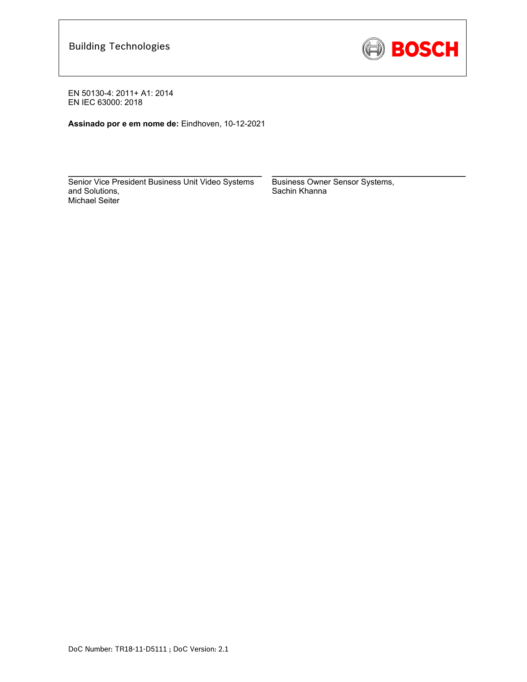

**Assinado por e em nome de:** Eindhoven, 10-12-2021

Senior Vice President Business Unit Video Systems and Solutions, Michael Seiter

 $\mathcal{L}_\text{max}$  and  $\mathcal{L}_\text{max}$  and  $\mathcal{L}_\text{max}$  and  $\mathcal{L}_\text{max}$ 

Business Owner Sensor Systems, Sachin Khanna

 $\mathcal{L}_\text{max}$  and  $\mathcal{L}_\text{max}$  and  $\mathcal{L}_\text{max}$  and  $\mathcal{L}_\text{max}$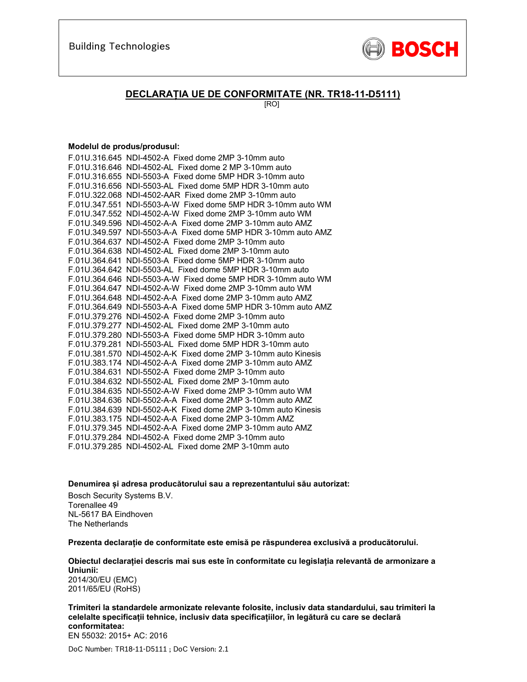

### **DECLARAȚIA UE DE CONFORMITATE (NR. TR18-11-D5111)**

[RO]

#### **Modelul de produs/produsul:**

| F.01U.316.645 NDI-4502-A Fixed dome 2MP 3-10mm auto           |
|---------------------------------------------------------------|
| F.01U.316.646 NDI-4502-AL Fixed dome 2 MP 3-10mm auto         |
| F.01U.316.655 NDI-5503-A Fixed dome 5MP HDR 3-10mm auto       |
| F.01U.316.656 NDI-5503-AL Fixed dome 5MP HDR 3-10mm auto      |
| F.01U.322.068 NDI-4502-AAR Fixed dome 2MP 3-10mm auto         |
| F.01U.347.551 NDI-5503-A-W Fixed dome 5MP HDR 3-10mm auto WM  |
| F.01U.347.552 NDI-4502-A-W Fixed dome 2MP 3-10mm auto WM      |
| F.01U.349.596 NDI-4502-A-A Fixed dome 2MP 3-10mm auto AMZ     |
| F.01U.349.597 NDI-5503-A-A Fixed dome 5MP HDR 3-10mm auto AMZ |
| F.01U.364.637 NDI-4502-A Fixed dome 2MP 3-10mm auto           |
| F.01U.364.638 NDI-4502-AL Fixed dome 2MP 3-10mm auto          |
| F.01U.364.641 NDI-5503-A Fixed dome 5MP HDR 3-10mm auto       |
| F.01U.364.642 NDI-5503-AL Fixed dome 5MP HDR 3-10mm auto      |
| F.01U.364.646 NDI-5503-A-W Fixed dome 5MP HDR 3-10mm auto WM  |
| F.01U.364.647 NDI-4502-A-W Fixed dome 2MP 3-10mm auto WM      |
| F.01U.364.648 NDI-4502-A-A Fixed dome 2MP 3-10mm auto AMZ     |
| F.01U.364.649 NDI-5503-A-A Fixed dome 5MP HDR 3-10mm auto AMZ |
| F.01U.379.276 NDI-4502-A Fixed dome 2MP 3-10mm auto           |
| F.01U.379.277 NDI-4502-AL Fixed dome 2MP 3-10mm auto          |
| F.01U.379.280 NDI-5503-A Fixed dome 5MP HDR 3-10mm auto       |
| F.01U.379.281 NDI-5503-AL Fixed dome 5MP HDR 3-10mm auto      |
| F.01U.381.570 NDI-4502-A-K Fixed dome 2MP 3-10mm auto Kinesis |
| F.01U.383.174 NDI-4502-A-A Fixed dome 2MP 3-10mm auto AMZ     |
| F.01U.384.631 NDI-5502-A Fixed dome 2MP 3-10mm auto           |
| F.01U.384.632 NDI-5502-AL Fixed dome 2MP 3-10mm auto          |
| F.01U.384.635 NDI-5502-A-W Fixed dome 2MP 3-10mm auto WM      |
| F.01U.384.636 NDI-5502-A-A Fixed dome 2MP 3-10mm auto AMZ     |
| F.01U.384.639 NDI-5502-A-K Fixed dome 2MP 3-10mm auto Kinesis |
| F.01U.383.175 NDI-4502-A-A Fixed dome 2MP 3-10mm AMZ          |
| F.01U.379.345 NDI-4502-A-A Fixed dome 2MP 3-10mm auto AMZ     |
| F.01U.379.284 NDI-4502-A Fixed dome 2MP 3-10mm auto           |
| F.01U.379.285 NDI-4502-AL Fixed dome 2MP 3-10mm auto          |

**Denumirea și adresa producătorului sau a reprezentantului său autorizat:** 

Bosch Security Systems B.V. Torenallee 49 NL-5617 BA Eindhoven The Netherlands

**Prezenta declarație de conformitate este emisă pe răspunderea exclusivă a producătorului.** 

**Obiectul declarației descris mai sus este în conformitate cu legislația relevantă de armonizare a Uniunii:** 2014/30/EU (EMC) 2011/65/EU (RoHS)

**Trimiteri la standardele armonizate relevante folosite, inclusiv data standardului, sau trimiteri la celelalte specificații tehnice, inclusiv data specificațiilor, în legătură cu care se declară conformitatea:**  EN 55032: 2015+ AC: 2016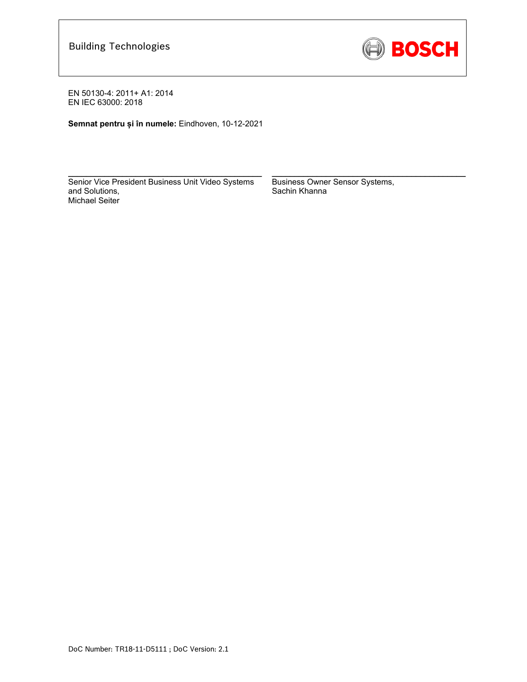

**Semnat pentru și în numele:** Eindhoven, 10-12-2021

Senior Vice President Business Unit Video Systems and Solutions, Michael Seiter

 $\mathcal{L}_\text{max} = \frac{1}{2} \sum_{i=1}^n \mathcal{L}_\text{max}(\mathbf{z}_i - \mathbf{z}_i)$ 

Business Owner Sensor Systems, Sachin Khanna

 $\mathcal{L}_\text{max} = \frac{1}{2} \sum_{i=1}^n \mathcal{L}_\text{max}(\mathbf{z}_i - \mathbf{z}_i)$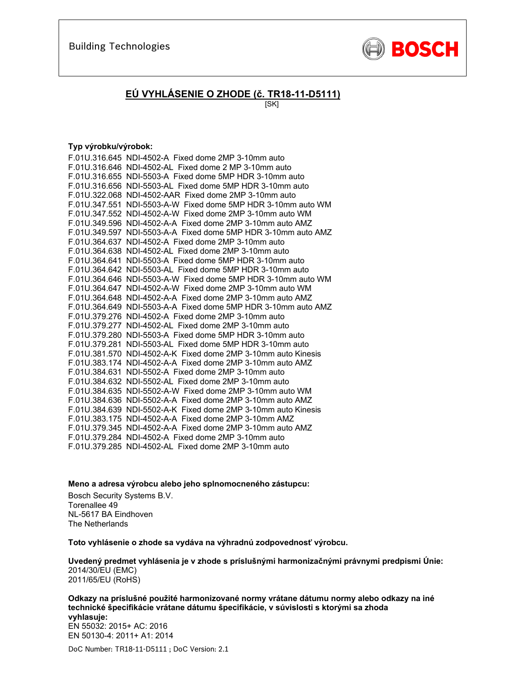

## **EÚ VYHLÁSENIE O ZHODE (č. TR18-11-D5111)**

[SK]

### **Typ výrobku/výrobok:**

| F.01U.316.645 NDI-4502-A Fixed dome 2MP 3-10mm auto           |
|---------------------------------------------------------------|
| F.01U.316.646 NDI-4502-AL Fixed dome 2 MP 3-10mm auto         |
| F.01U.316.655 NDI-5503-A Fixed dome 5MP HDR 3-10mm auto       |
| F.01U.316.656 NDI-5503-AL Fixed dome 5MP HDR 3-10mm auto      |
| F.01U.322.068 NDI-4502-AAR Fixed dome 2MP 3-10mm auto         |
| F.01U.347.551 NDI-5503-A-W Fixed dome 5MP HDR 3-10mm auto WM  |
| F.01U.347.552 NDI-4502-A-W Fixed dome 2MP 3-10mm auto WM      |
| F.01U.349.596 NDI-4502-A-A Fixed dome 2MP 3-10mm auto AMZ     |
| F.01U.349.597 NDI-5503-A-A Fixed dome 5MP HDR 3-10mm auto AMZ |
| F.01U.364.637 NDI-4502-A Fixed dome 2MP 3-10mm auto           |
| F.01U.364.638 NDI-4502-AL Fixed dome 2MP 3-10mm auto          |
| F.01U.364.641 NDI-5503-A Fixed dome 5MP HDR 3-10mm auto       |
| F.01U.364.642 NDI-5503-AL Fixed dome 5MP HDR 3-10mm auto      |
| F.01U.364.646 NDI-5503-A-W Fixed dome 5MP HDR 3-10mm auto WM  |
| F.01U.364.647 NDI-4502-A-W Fixed dome 2MP 3-10mm auto WM      |
| F.01U.364.648 NDI-4502-A-A Fixed dome 2MP 3-10mm auto AMZ     |
| F.01U.364.649 NDI-5503-A-A Fixed dome 5MP HDR 3-10mm auto AMZ |
| F.01U.379.276 NDI-4502-A Fixed dome 2MP 3-10mm auto           |
| F.01U.379.277 NDI-4502-AL Fixed dome 2MP 3-10mm auto          |
| F.01U.379.280 NDI-5503-A Fixed dome 5MP HDR 3-10mm auto       |
| F.01U.379.281 NDI-5503-AL Fixed dome 5MP HDR 3-10mm auto      |
| F.01U.381.570 NDI-4502-A-K Fixed dome 2MP 3-10mm auto Kinesis |
| F.01U.383.174 NDI-4502-A-A Fixed dome 2MP 3-10mm auto AMZ     |
| F.01U.384.631 NDI-5502-A Fixed dome 2MP 3-10mm auto           |
| F.01U.384.632 NDI-5502-AL Fixed dome 2MP 3-10mm auto          |
| F.01U.384.635 NDI-5502-A-W Fixed dome 2MP 3-10mm auto WM      |
| F.01U.384.636 NDI-5502-A-A Fixed dome 2MP 3-10mm auto AMZ     |
| F.01U.384.639 NDI-5502-A-K Fixed dome 2MP 3-10mm auto Kinesis |
| F.01U.383.175 NDI-4502-A-A Fixed dome 2MP 3-10mm AMZ          |
| F.01U.379.345 NDI-4502-A-A Fixed dome 2MP 3-10mm auto AMZ     |
| F.01U.379.284 NDI-4502-A Fixed dome 2MP 3-10mm auto           |
| F.01U.379.285 NDI-4502-AL Fixed dome 2MP 3-10mm auto          |

**Meno a adresa výrobcu alebo jeho splnomocneného zástupcu:** 

Bosch Security Systems B.V. Torenallee 49 NL-5617 BA Eindhoven The Netherlands

**Toto vyhlásenie o zhode sa vydáva na výhradnú zodpovednosť výrobcu.** 

**Uvedený predmet vyhlásenia je v zhode s príslušnými harmonizačnými právnymi predpismi Únie:** 2014/30/EU (EMC) 2011/65/EU (RoHS)

**Odkazy na príslušné použité harmonizované normy vrátane dátumu normy alebo odkazy na iné technické špecifikácie vrátane dátumu špecifikácie, v súvislosti s ktorými sa zhoda vyhlasuje:**  EN 55032: 2015+ AC: 2016 EN 50130-4: 2011+ A1: 2014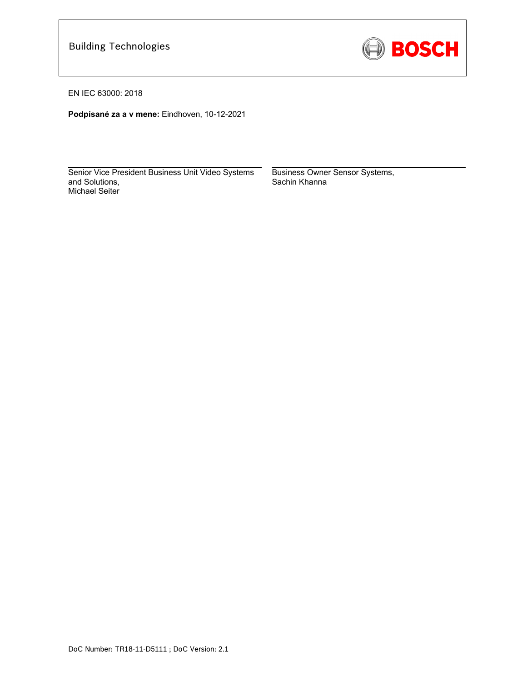

EN IEC 63000: 2018

**Podpísané za a v mene:** Eindhoven, 10-12-2021

Senior Vice President Business Unit Video Systems and Solutions, Michael Seiter

 $\mathcal{L}=\{1,2,3,4,5\}$  , we can assume that  $\mathcal{L}=\{1,2,3,4,5\}$ 

Business Owner Sensor Systems, Sachin Khanna

 $\mathcal{L}=\{1,2,3,4,5\}$  , we can assume that  $\mathcal{L}=\{1,2,3,4,5\}$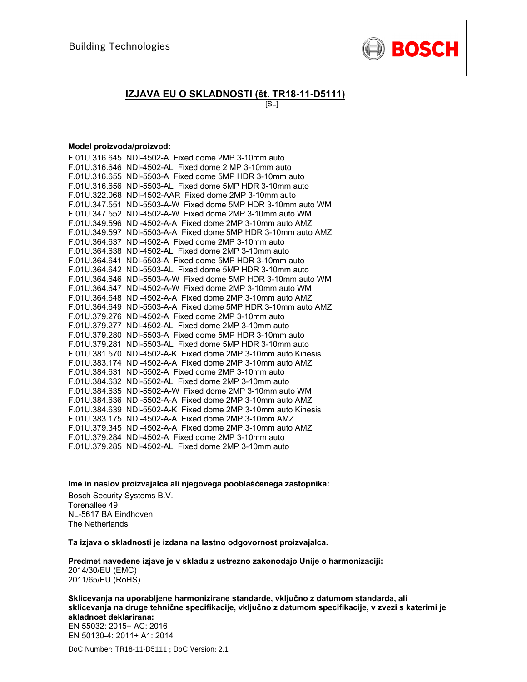

### **IZJAVA EU O SKLADNOSTI (št. TR18-11-D5111)**

[SL]

#### **Model proizvoda/proizvod:**

| F.01U.316.645 NDI-4502-A Fixed dome 2MP 3-10mm auto           |
|---------------------------------------------------------------|
| F.01U.316.646 NDI-4502-AL Fixed dome 2 MP 3-10mm auto         |
| F.01U.316.655 NDI-5503-A Fixed dome 5MP HDR 3-10mm auto       |
| F.01U.316.656 NDI-5503-AL Fixed dome 5MP HDR 3-10mm auto      |
| F.01U.322.068 NDI-4502-AAR Fixed dome 2MP 3-10mm auto         |
| F.01U.347.551 NDI-5503-A-W Fixed dome 5MP HDR 3-10mm auto WM  |
| F.01U.347.552 NDI-4502-A-W Fixed dome 2MP 3-10mm auto WM      |
| F.01U.349.596 NDI-4502-A-A Fixed dome 2MP 3-10mm auto AMZ     |
| F.01U.349.597 NDI-5503-A-A Fixed dome 5MP HDR 3-10mm auto AMZ |
| F.01U.364.637 NDI-4502-A Fixed dome 2MP 3-10mm auto           |
| F.01U.364.638 NDI-4502-AL Fixed dome 2MP 3-10mm auto          |
| F.01U.364.641 NDI-5503-A Fixed dome 5MP HDR 3-10mm auto       |
| F.01U.364.642 NDI-5503-AL Fixed dome 5MP HDR 3-10mm auto      |
| F.01U.364.646 NDI-5503-A-W Fixed dome 5MP HDR 3-10mm auto WM  |
| F.01U.364.647 NDI-4502-A-W Fixed dome 2MP 3-10mm auto WM      |
| F.01U.364.648 NDI-4502-A-A Fixed dome 2MP 3-10mm auto AMZ     |
| F.01U.364.649 NDI-5503-A-A Fixed dome 5MP HDR 3-10mm auto AMZ |
| F.01U.379.276 NDI-4502-A Fixed dome 2MP 3-10mm auto           |
| F.01U.379.277 NDI-4502-AL Fixed dome 2MP 3-10mm auto          |
| F.01U.379.280 NDI-5503-A Fixed dome 5MP HDR 3-10mm auto       |
| F.01U.379.281 NDI-5503-AL Fixed dome 5MP HDR 3-10mm auto      |
| F.01U.381.570 NDI-4502-A-K Fixed dome 2MP 3-10mm auto Kinesis |
| F.01U.383.174 NDI-4502-A-A Fixed dome 2MP 3-10mm auto AMZ     |
| F.01U.384.631 NDI-5502-A Fixed dome 2MP 3-10mm auto           |
| F.01U.384.632 NDI-5502-AL Fixed dome 2MP 3-10mm auto          |
| F.01U.384.635 NDI-5502-A-W Fixed dome 2MP 3-10mm auto WM      |
| F.01U.384.636 NDI-5502-A-A Fixed dome 2MP 3-10mm auto AMZ     |
| F.01U.384.639 NDI-5502-A-K Fixed dome 2MP 3-10mm auto Kinesis |
| F.01U.383.175 NDI-4502-A-A Fixed dome 2MP 3-10mm AMZ          |
| F.01U.379.345 NDI-4502-A-A Fixed dome 2MP 3-10mm auto AMZ     |
| F.01U.379.284 NDI-4502-A Fixed dome 2MP 3-10mm auto           |
| F.01U.379.285 NDI-4502-AL Fixed dome 2MP 3-10mm auto          |

**Ime in naslov proizvajalca ali njegovega pooblaščenega zastopnika:** 

Bosch Security Systems B.V. Torenallee 49 NL-5617 BA Eindhoven The Netherlands

**Ta izjava o skladnosti je izdana na lastno odgovornost proizvajalca.** 

**Predmet navedene izjave je v skladu z ustrezno zakonodajo Unije o harmonizaciji:** 2014/30/EU (EMC) 2011/65/EU (RoHS)

**Sklicevanja na uporabljene harmonizirane standarde, vključno z datumom standarda, ali sklicevanja na druge tehnične specifikacije, vključno z datumom specifikacije, v zvezi s katerimi je skladnost deklarirana:**  EN 55032: 2015+ AC: 2016

EN 50130-4: 2011+ A1: 2014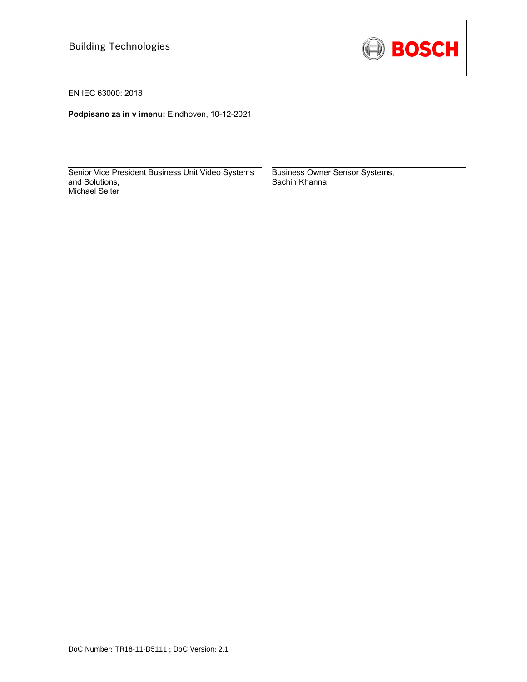

EN IEC 63000: 2018

**Podpisano za in v imenu:** Eindhoven, 10-12-2021

 $\mathcal{L}_\text{max}$  and  $\mathcal{L}_\text{max}$  and  $\mathcal{L}_\text{max}$  and  $\mathcal{L}_\text{max}$  and  $\mathcal{L}_\text{max}$ Senior Vice President Business Unit Video Systems and Solutions, Michael Seiter

Business Owner Sensor Systems, Sachin Khanna

 $\mathcal{L}=\{1,2,3,4,5\}$  , we can assume that  $\mathcal{L}=\{1,2,3,4,5\}$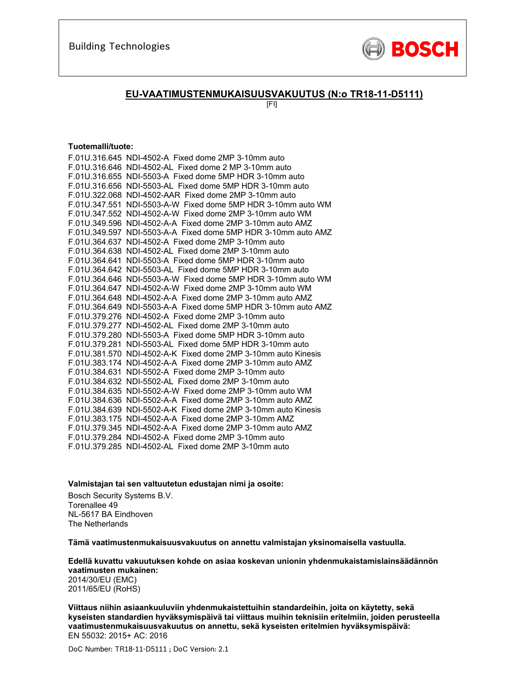

### **EU-VAATIMUSTENMUKAISUUSVAKUUTUS (N:o TR18-11-D5111)**

[FI]

#### **Tuotemalli/tuote:**

| F.01U.316.645 NDI-4502-A Fixed dome 2MP 3-10mm auto           |
|---------------------------------------------------------------|
| F.01U.316.646 NDI-4502-AL Fixed dome 2 MP 3-10mm auto         |
| F.01U.316.655 NDI-5503-A Fixed dome 5MP HDR 3-10mm auto       |
| F.01U.316.656 NDI-5503-AL Fixed dome 5MP HDR 3-10mm auto      |
| F.01U.322.068 NDI-4502-AAR Fixed dome 2MP 3-10mm auto         |
| F.01U.347.551 NDI-5503-A-W Fixed dome 5MP HDR 3-10mm auto WM  |
| F.01U.347.552 NDI-4502-A-W Fixed dome 2MP 3-10mm auto WM      |
| F.01U.349.596 NDI-4502-A-A Fixed dome 2MP 3-10mm auto AMZ     |
| F.01U.349.597 NDI-5503-A-A Fixed dome 5MP HDR 3-10mm auto AMZ |
| F.01U.364.637 NDI-4502-A Fixed dome 2MP 3-10mm auto           |
| F.01U.364.638 NDI-4502-AL Fixed dome 2MP 3-10mm auto          |
| F.01U.364.641 NDI-5503-A Fixed dome 5MP HDR 3-10mm auto       |
| F.01U.364.642 NDI-5503-AL Fixed dome 5MP HDR 3-10mm auto      |
| F.01U.364.646 NDI-5503-A-W Fixed dome 5MP HDR 3-10mm auto WM  |
| F.01U.364.647 NDI-4502-A-W Fixed dome 2MP 3-10mm auto WM      |
| F.01U.364.648 NDI-4502-A-A Fixed dome 2MP 3-10mm auto AMZ     |
| F.01U.364.649 NDI-5503-A-A Fixed dome 5MP HDR 3-10mm auto AMZ |
| F.01U.379.276 NDI-4502-A Fixed dome 2MP 3-10mm auto           |
| F.01U.379.277 NDI-4502-AL Fixed dome 2MP 3-10mm auto          |
| F.01U.379.280 NDI-5503-A Fixed dome 5MP HDR 3-10mm auto       |
| F.01U.379.281 NDI-5503-AL Fixed dome 5MP HDR 3-10mm auto      |
| F.01U.381.570 NDI-4502-A-K Fixed dome 2MP 3-10mm auto Kinesis |
| F.01U.383.174 NDI-4502-A-A Fixed dome 2MP 3-10mm auto AMZ     |
| F.01U.384.631 NDI-5502-A Fixed dome 2MP 3-10mm auto           |
| F.01U.384.632 NDI-5502-AL Fixed dome 2MP 3-10mm auto          |
| F.01U.384.635 NDI-5502-A-W Fixed dome 2MP 3-10mm auto WM      |
| F.01U.384.636 NDI-5502-A-A Fixed dome 2MP 3-10mm auto AMZ     |
| F.01U.384.639 NDI-5502-A-K Fixed dome 2MP 3-10mm auto Kinesis |
| F.01U.383.175 NDI-4502-A-A Fixed dome 2MP 3-10mm AMZ          |
| F.01U.379.345 NDI-4502-A-A Fixed dome 2MP 3-10mm auto AMZ     |
| F.01U.379.284 NDI-4502-A Fixed dome 2MP 3-10mm auto           |
| F.01U.379.285 NDI-4502-AL Fixed dome 2MP 3-10mm auto          |

**Valmistajan tai sen valtuutetun edustajan nimi ja osoite:** 

Bosch Security Systems B.V. Torenallee 49 NL-5617 BA Eindhoven The Netherlands

**Tämä vaatimustenmukaisuusvakuutus on annettu valmistajan yksinomaisella vastuulla.** 

**Edellä kuvattu vakuutuksen kohde on asiaa koskevan unionin yhdenmukaistamislainsäädännön vaatimusten mukainen:**

2014/30/EU (EMC) 2011/65/EU (RoHS)

**Viittaus niihin asiaankuuluviin yhdenmukaistettuihin standardeihin, joita on käytetty, sekä kyseisten standardien hyväksymispäivä tai viittaus muihin teknisiin eritelmiin, joiden perusteella vaatimustenmukaisuusvakuutus on annettu, sekä kyseisten eritelmien hyväksymispäivä:**  EN 55032: 2015+ AC: 2016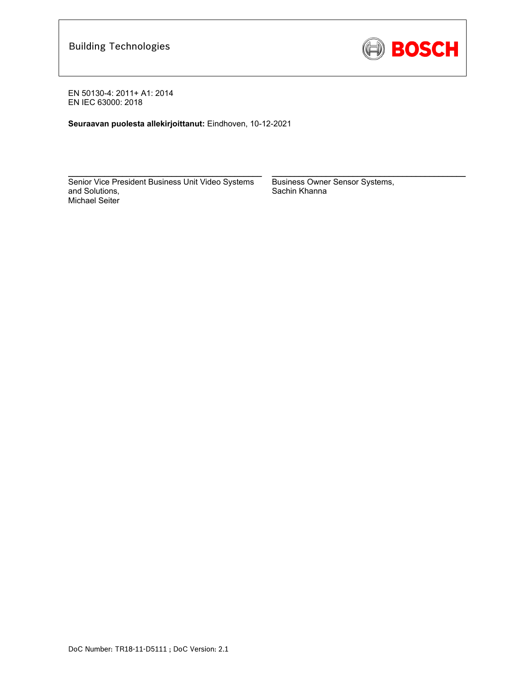

**Seuraavan puolesta allekirjoittanut:** Eindhoven, 10-12-2021

Senior Vice President Business Unit Video Systems and Solutions, Michael Seiter

 $\mathcal{L}_\text{max} = \frac{1}{2} \sum_{i=1}^n \mathcal{L}_\text{max}(\mathbf{z}_i - \mathbf{z}_i)$ 

Business Owner Sensor Systems, Sachin Khanna

 $\mathcal{L}_\text{max} = \frac{1}{2} \sum_{i=1}^n \mathcal{L}_\text{max}(\mathbf{z}_i - \mathbf{z}_i)$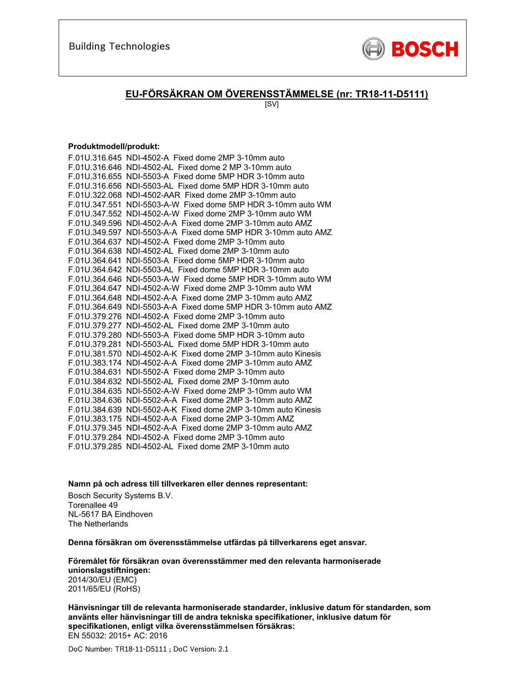

### **EU-FÖRSÄKRAN OM ÖVERENSSTÄMMELSE (nr: TR18-11-D5111)**

[SV]

#### **Produktmodell/produkt:**

| F.01U.316.645 NDI-4502-A Fixed dome 2MP 3-10mm auto           |
|---------------------------------------------------------------|
| F.01U.316.646 NDI-4502-AL Fixed dome 2 MP 3-10mm auto         |
| F.01U.316.655 NDI-5503-A Fixed dome 5MP HDR 3-10mm auto       |
| F.01U.316.656 NDI-5503-AL Fixed dome 5MP HDR 3-10mm auto      |
| F.01U.322.068 NDI-4502-AAR Fixed dome 2MP 3-10mm auto         |
| F.01U.347.551 NDI-5503-A-W Fixed dome 5MP HDR 3-10mm auto WM  |
| F.01U.347.552 NDI-4502-A-W Fixed dome 2MP 3-10mm auto WM      |
| F.01U.349.596 NDI-4502-A-A Fixed dome 2MP 3-10mm auto AMZ     |
| F.01U.349.597 NDI-5503-A-A Fixed dome 5MP HDR 3-10mm auto AMZ |
| F.01U.364.637 NDI-4502-A Fixed dome 2MP 3-10mm auto           |
| F.01U.364.638 NDI-4502-AL Fixed dome 2MP 3-10mm auto          |
| F.01U.364.641 NDI-5503-A Fixed dome 5MP HDR 3-10mm auto       |
| F.01U.364.642 NDI-5503-AL Fixed dome 5MP HDR 3-10mm auto      |
| F.01U.364.646 NDI-5503-A-W Fixed dome 5MP HDR 3-10mm auto WM  |
| F.01U.364.647 NDI-4502-A-W Fixed dome 2MP 3-10mm auto WM      |
| F.01U.364.648 NDI-4502-A-A Fixed dome 2MP 3-10mm auto AMZ     |
| F.01U.364.649 NDI-5503-A-A Fixed dome 5MP HDR 3-10mm auto AMZ |
| F.01U.379.276 NDI-4502-A Fixed dome 2MP 3-10mm auto           |
| F.01U.379.277 NDI-4502-AL Fixed dome 2MP 3-10mm auto          |
| F.01U.379.280 NDI-5503-A Fixed dome 5MP HDR 3-10mm auto       |
| F.01U.379.281 NDI-5503-AL Fixed dome 5MP HDR 3-10mm auto      |
| F.01U.381.570 NDI-4502-A-K Fixed dome 2MP 3-10mm auto Kinesis |
| F.01U.383.174 NDI-4502-A-A Fixed dome 2MP 3-10mm auto AMZ     |
| F.01U.384.631 NDI-5502-A Fixed dome 2MP 3-10mm auto           |
| F.01U.384.632 NDI-5502-AL Fixed dome 2MP 3-10mm auto          |
| F.01U.384.635 NDI-5502-A-W Fixed dome 2MP 3-10mm auto WM      |
| F.01U.384.636 NDI-5502-A-A Fixed dome 2MP 3-10mm auto AMZ     |
| F.01U.384.639 NDI-5502-A-K Fixed dome 2MP 3-10mm auto Kinesis |
| F.01U.383.175 NDI-4502-A-A Fixed dome 2MP 3-10mm AMZ          |
| F.01U.379.345 NDI-4502-A-A Fixed dome 2MP 3-10mm auto AMZ     |
| F.01U.379.284 NDI-4502-A Fixed dome 2MP 3-10mm auto           |
| F.01U.379.285 NDI-4502-AL Fixed dome 2MP 3-10mm auto          |

**Namn på och adress till tillverkaren eller dennes representant:** 

Bosch Security Systems B.V. Torenallee 49 NL-5617 BA Eindhoven The Netherlands

**Denna försäkran om överensstämmelse utfärdas på tillverkarens eget ansvar.** 

**Föremålet för försäkran ovan överensstämmer med den relevanta harmoniserade unionslagstiftningen:** 2014/30/EU (EMC) 2011/65/EU (RoHS)

**Hänvisningar till de relevanta harmoniserade standarder, inklusive datum för standarden, som använts eller hänvisningar till de andra tekniska specifikationer, inklusive datum för specifikationen, enligt vilka överensstämmelsen försäkras:**  EN 55032: 2015+ AC: 2016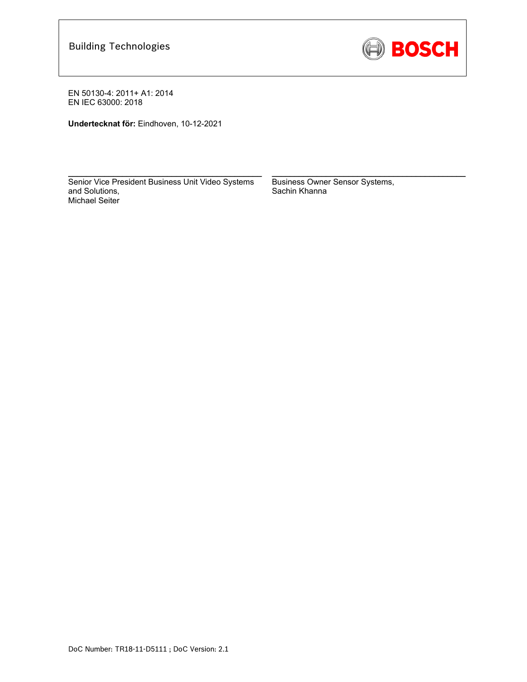

**Undertecknat för:** Eindhoven, 10-12-2021

Senior Vice President Business Unit Video Systems and Solutions, Michael Seiter

 $\mathcal{L}_\text{max}$  and  $\mathcal{L}_\text{max}$  and  $\mathcal{L}_\text{max}$  and  $\mathcal{L}_\text{max}$ 

Business Owner Sensor Systems, Sachin Khanna

 $\mathcal{L}_\text{max}$  and  $\mathcal{L}_\text{max}$  and  $\mathcal{L}_\text{max}$  and  $\mathcal{L}_\text{max}$